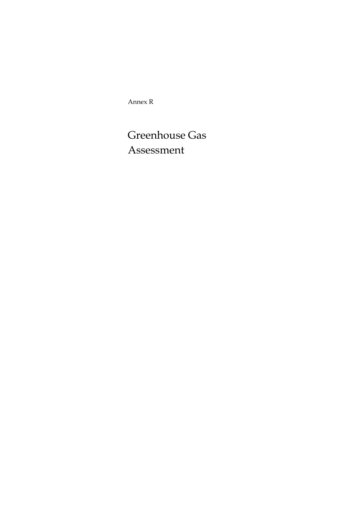Annex R

# Greenhouse Gas Assessment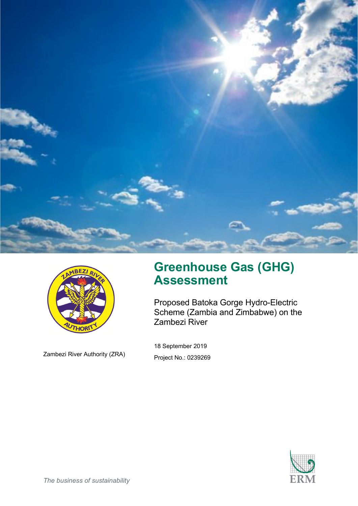



Zambezi River Authority (ZRA)

# **Greenhouse Gas (GHG) Assessment**

Proposed Batoka Gorge Hydro-Electric Scheme (Zambia and Zimbabwe) on the Zambezi River

18 September 2019 Project No.: 0239269

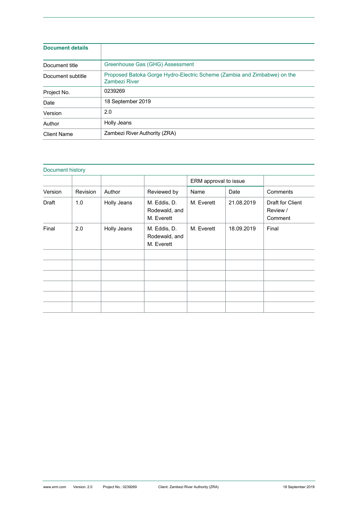| <b>Document details</b> |                                                                                           |
|-------------------------|-------------------------------------------------------------------------------------------|
| Document title          | Greenhouse Gas (GHG) Assessment                                                           |
| Document subtitle       | Proposed Batoka Gorge Hydro-Electric Scheme (Zambia and Zimbabwe) on the<br>Zambezi River |
| Project No.             | 0239269                                                                                   |
| Date                    | 18 September 2019                                                                         |
| Version                 | 2.0                                                                                       |
| Author                  | Holly Jeans                                                                               |
| Client Name             | Zambezi River Authority (ZRA)                                                             |

| Document history |          |             |                                             |                       |            |                                         |
|------------------|----------|-------------|---------------------------------------------|-----------------------|------------|-----------------------------------------|
|                  |          |             |                                             | ERM approval to issue |            |                                         |
| Version          | Revision | Author      | Reviewed by                                 | Name                  | Date       | Comments                                |
| Draft            | 1.0      | Holly Jeans | M. Eddis, D.<br>Rodewald, and<br>M. Everett | M. Everett            | 21.08.2019 | Draft for Client<br>Review /<br>Comment |
| Final            | 2.0      | Holly Jeans | M. Eddis, D.<br>Rodewald, and<br>M. Everett | M. Everett            | 18.09.2019 | Final                                   |
|                  |          |             |                                             |                       |            |                                         |
|                  |          |             |                                             |                       |            |                                         |
|                  |          |             |                                             |                       |            |                                         |
|                  |          |             |                                             |                       |            |                                         |
|                  |          |             |                                             |                       |            |                                         |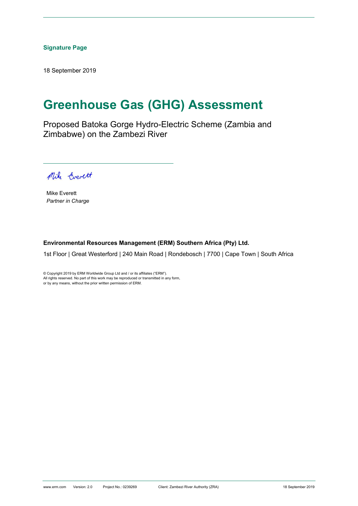### **Signature Page**

18 September 2019

# **Greenhouse Gas (GHG) Assessment**

Proposed Batoka Gorge Hydro-Electric Scheme (Zambia and Zimbabwe) on the Zambezi River

Mike Cverett

Mike Everett *Partner in Charge* 

### **Environmental Resources Management (ERM) Southern Africa (Pty) Ltd.**

1st Floor | Great Westerford | 240 Main Road | Rondebosch | 7700 | Cape Town | South Africa

© Copyright 2019 by ERM Worldwide Group Ltd and / or its affiliates ("ERM"). All rights reserved. No part of this work may be reproduced or transmitted in any form, or by any means, without the prior written permission of ERM.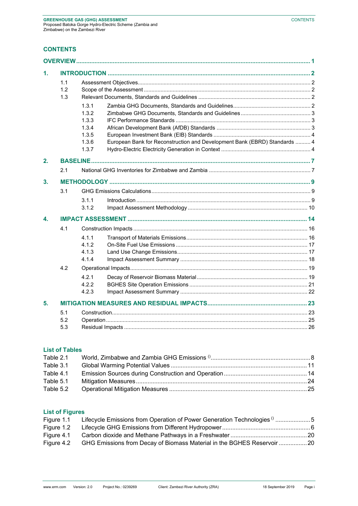# **CONTENTS**

| 1. |                   |                                                             |                                                                           |  |
|----|-------------------|-------------------------------------------------------------|---------------------------------------------------------------------------|--|
|    | 1.1<br>1.2<br>1.3 |                                                             |                                                                           |  |
|    |                   | 1.3.1<br>1.3.2<br>1.3.3<br>1.3.4<br>1.3.5<br>1.3.6<br>1.3.7 | European Bank for Reconstruction and Development Bank (EBRD) Standards  4 |  |
| 2. |                   |                                                             |                                                                           |  |
|    | 2.1               |                                                             |                                                                           |  |
| 3. |                   |                                                             |                                                                           |  |
|    | 3.1               |                                                             |                                                                           |  |
|    |                   | 3.1.1<br>3.1.2                                              |                                                                           |  |
| 4. |                   |                                                             |                                                                           |  |
|    | 4.1               | 4.1.1<br>4.1.2<br>4.1.3<br>4.1.4                            |                                                                           |  |
|    | 4.2               | 4.2.1<br>4.2.2<br>4.2.3                                     |                                                                           |  |
| 5. |                   |                                                             |                                                                           |  |
|    | 5.1<br>5.2<br>5.3 |                                                             |                                                                           |  |

### **List of Tables**

| Table 2.1 |  |
|-----------|--|
| Table 3.1 |  |
| Table 4.1 |  |
| Table 5.1 |  |
| Table 5.2 |  |

# **List of Figures**

| Figure 1.1 | Lifecycle Emissions from Operation of Power Generation Technologies (15 |  |
|------------|-------------------------------------------------------------------------|--|
| Figure 1.2 |                                                                         |  |
| Figure 4.1 |                                                                         |  |
| Figure 4.2 | GHG Emissions from Decay of Biomass Material in the BGHES Reservoir 20  |  |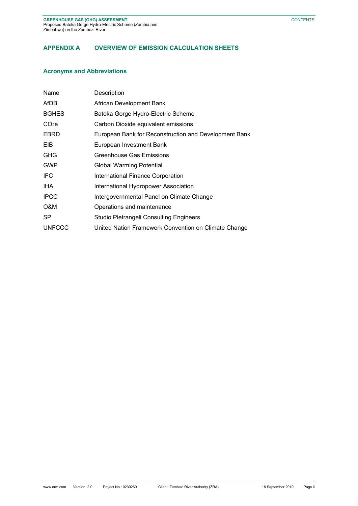# **APPENDIX A OVERVIEW OF EMISSION CALCULATION SHEETS**

### **Acronyms and Abbreviations**

| Name              | Description                                           |
|-------------------|-------------------------------------------------------|
| AfDB              | African Development Bank                              |
| <b>BGHES</b>      | Batoka Gorge Hydro-Electric Scheme                    |
| CO <sub>2</sub> e | Carbon Dioxide equivalent emissions                   |
| EBRD              | European Bank for Reconstruction and Development Bank |
| <b>EIB</b>        | European Investment Bank                              |
| <b>GHG</b>        | Greenhouse Gas Emissions                              |
| <b>GWP</b>        | <b>Global Warming Potential</b>                       |
| IFC.              | International Finance Corporation                     |
| IHA               | International Hydropower Association                  |
| <b>IPCC</b>       | Intergovernmental Panel on Climate Change             |
| O&M               | Operations and maintenance                            |
| SP.               | <b>Studio Pietrangeli Consulting Engineers</b>        |
| <b>UNFCCC</b>     | United Nation Framework Convention on Climate Change  |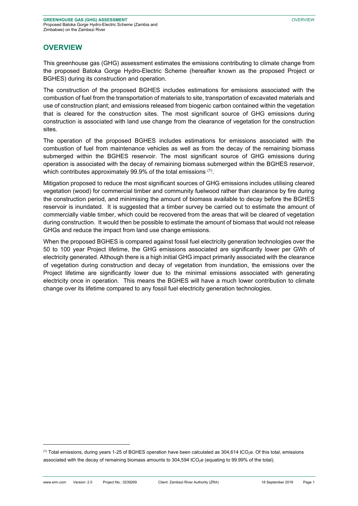### **OVERVIEW**

This greenhouse gas (GHG) assessment estimates the emissions contributing to climate change from the proposed Batoka Gorge Hydro-Electric Scheme (hereafter known as the proposed Project or BGHES) during its construction and operation.

The construction of the proposed BGHES includes estimations for emissions associated with the combustion of fuel from the transportation of materials to site, transportation of excavated materials and use of construction plant; and emissions released from biogenic carbon contained within the vegetation that is cleared for the construction sites. The most significant source of GHG emissions during construction is associated with land use change from the clearance of vegetation for the construction sites.

The operation of the proposed BGHES includes estimations for emissions associated with the combustion of fuel from maintenance vehicles as well as from the decay of the remaining biomass submerged within the BGHES reservoir. The most significant source of GHG emissions during operation is associated with the decay of remaining biomass submerged within the BGHES reservoir, which contributes approximately 99.9% of the total emissions (1).

Mitigation proposed to reduce the most significant sources of GHG emissions includes utilising cleared vegetation (wood) for commercial timber and community fuelwood rather than clearance by fire during the construction period, and minimising the amount of biomass available to decay before the BGHES reservoir is inundated. It is suggested that a timber survey be carried out to estimate the amount of commercially viable timber, which could be recovered from the areas that will be cleared of vegetation during construction. It would then be possible to estimate the amount of biomass that would not release GHGs and reduce the impact from land use change emissions.

When the proposed BGHES is compared against fossil fuel electricity generation technologies over the 50 to 100 year Project lifetime, the GHG emissions associated are significantly lower per GWh of electricity generated. Although there is a high initial GHG impact primarily associated with the clearance of vegetation during construction and decay of vegetation from inundation, the emissions over the Project lifetime are significantly lower due to the minimal emissions associated with generating electricity once in operation. This means the BGHES will have a much lower contribution to climate change over its lifetime compared to any fossil fuel electricity generation technologies.

<sup>(1)</sup> Total emissions, during years 1-25 of BGHES operation have been calculated as 304,614 tCO<sub>2</sub>e. Of this total, emissions associated with the decay of remaining biomass amounts to 304,594 tCO<sub>2</sub>e (equating to 99.99% of the total).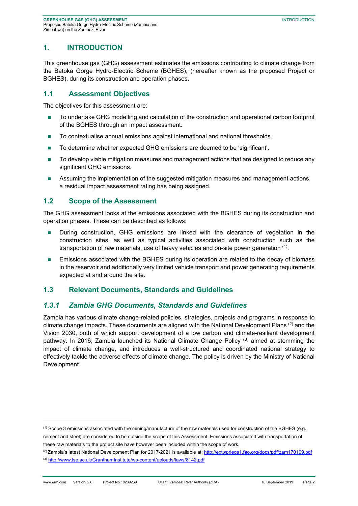# **1. INTRODUCTION**

This greenhouse gas (GHG) assessment estimates the emissions contributing to climate change from the Batoka Gorge Hydro-Electric Scheme (BGHES), (hereafter known as the proposed Project or BGHES), during its construction and operation phases.

### **1.1 Assessment Objectives**

The objectives for this assessment are:

- To undertake GHG modelling and calculation of the construction and operational carbon footprint of the BGHES through an impact assessment.
- To contextualise annual emissions against international and national thresholds.
- To determine whether expected GHG emissions are deemed to be 'significant'.
- To develop viable mitigation measures and management actions that are designed to reduce any significant GHG emissions.
- Assuming the implementation of the suggested mitigation measures and management actions, a residual impact assessment rating has being assigned.

### **1.2 Scope of the Assessment**

1

The GHG assessment looks at the emissions associated with the BGHES during its construction and operation phases. These can be described as follows:

- **During construction, GHG emissions are linked with the clearance of vegetation in the** construction sites, as well as typical activities associated with construction such as the transportation of raw materials, use of heavy vehicles and on-site power generation  $(1)$ .
- **Emissions associated with the BGHES during its operation are related to the decay of biomass** in the reservoir and additionally very limited vehicle transport and power generating requirements expected at and around the site.

### **1.3 Relevant Documents, Standards and Guidelines**

### *1.3.1 Zambia GHG Documents, Standards and Guidelines*

Zambia has various climate change-related policies, strategies, projects and programs in response to climate change impacts. These documents are aligned with the National Development Plans  $^{(2)}$  and the Vision 2030, both of which support development of a low carbon and climate-resilient development pathway. In 2016, Zambia launched its National Climate Change Policy<sup>(3)</sup> aimed at stemming the impact of climate change, and introduces a well-structured and coordinated national strategy to effectively tackle the adverse effects of climate change. The policy is driven by the Ministry of National Development.

 $<sup>(1)</sup>$  Scope 3 emissions associated with the mining/manufacture of the raw materials used for construction of the BGHES (e.g.</sup> cement and steel) are considered to be outside the scope of this Assessment. Emissions associated with transportation of these raw materials to the project site have however been included within the scope of work.

 $^{(2)}$ Zambia's latest National Development Plan for 2017-2021 is available at: http://extwprlegs1.fao.org/docs/pdf/zam170109.pdf (3) http://www.lse.ac.uk/GranthamInstitute/wp-content/uploads/laws/8142.pdf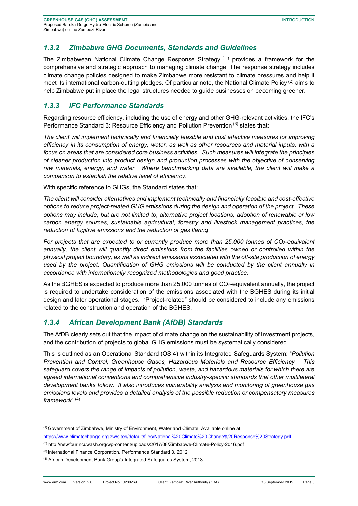### *1.3.2 Zimbabwe GHG Documents, Standards and Guidelines*

The Zimbabwean National Climate Change Response Strategy  $(1)$  provides a framework for the comprehensive and strategic approach to managing climate change. The response strategy includes climate change policies designed to make Zimbabwe more resistant to climate pressures and help it meet its international carbon-cutting pledges. Of particular note, the National Climate Policy<sup>(2)</sup> aims to help Zimbabwe put in place the legal structures needed to guide businesses on becoming greener.

### *1.3.3 IFC Performance Standards*

Regarding resource efficiency, including the use of energy and other GHG-relevant activities, the IFC's Performance Standard 3: Resource Efficiency and Pollution Prevention<sup>(3)</sup> states that:

*The client will implement technically and financially feasible and cost effective measures for improving efficiency in its consumption of energy, water, as well as other resources and material inputs, with a focus on areas that are considered core business activities. Such measures will integrate the principles of cleaner production into product design and production processes with the objective of conserving raw materials, energy, and water. Where benchmarking data are available, the client will make a comparison to establish the relative level of efficiency*.

With specific reference to GHGs, the Standard states that:

*The client will consider alternatives and implement technically and financially feasible and cost-effective options to reduce project-related GHG emissions during the design and operation of the project. These options may include, but are not limited to, alternative project locations, adoption of renewable or low carbon energy sources, sustainable agricultural, forestry and livestock management practices, the reduction of fugitive emissions and the reduction of gas flaring*.

*For projects that are expected to or currently produce more than 25,000 tonnes of CO<sub>2</sub>-equivalent annually, the client will quantify direct emissions from the facilities owned or controlled within the physical project boundary, as well as indirect emissions associated with the off-site production of energy used by the project. Quantification of GHG emissions will be conducted by the client annually in accordance with internationally recognized methodologies and good practice.* 

As the BGHES is expected to produce more than 25,000 tonnes of CO<sub>2</sub>-equivalent annually, the project is required to undertake consideration of the emissions associated with the BGHES during its initial design and later operational stages. "Project-related" should be considered to include any emissions related to the construction and operation of the BGHES.

### *1.3.4 African Development Bank (AfDB) Standards*

The AfDB clearly sets out that the impact of climate change on the sustainability of investment projects, and the contribution of projects to global GHG emissions must be systematically considered.

This is outlined as an Operational Standard (OS 4) within its Integrated Safeguards System: "*Pollution Prevention and Control, Greenhouse Gases, Hazardous Materials and Resource Efficiency – This safeguard covers the range of impacts of pollution, waste, and hazardous materials for which there are agreed international conventions and comprehensive industry-specific standards that other multilateral development banks follow. It also introduces vulnerability analysis and monitoring of greenhouse gas emissions levels and provides a detailed analysis of the possible reduction or compensatory measures framework*" (4) .

<sup>(1)</sup> Government of Zimbabwe, Ministry of Environment, Water and Climate. Available online at: https://www.climatechange.org.zw/sites/default/files/National%20Climate%20Change%20Response%20Strategy.pdf

<sup>(2)</sup> http://newfour.ncuwash.org/wp-content/uploads/2017/08/Zimbabwe-Climate-Policy-2016.pdf

<sup>(3)</sup> International Finance Corporation, Performance Standard 3, 2012

<sup>(4)</sup> African Development Bank Group's Integrated Safeguards System, 2013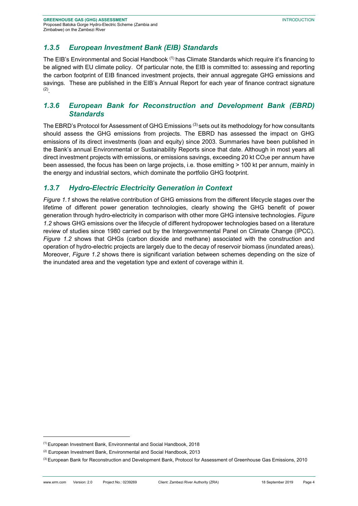# *1.3.5 European Investment Bank (EIB) Standards*

The EIB's Environmental and Social Handbook (1) has Climate Standards which require it's financing to be aligned with EU climate policy. Of particular note, the EIB is committed to: assessing and reporting the carbon footprint of EIB financed investment projects, their annual aggregate GHG emissions and savings. These are published in the EIB's Annual Report for each year of finance contract signature (2) .

### *1.3.6 European Bank for Reconstruction and Development Bank (EBRD) Standards*

The EBRD's Protocol for Assessment of GHG Emissions (3) sets out its methodology for how consultants should assess the GHG emissions from projects. The EBRD has assessed the impact on GHG emissions of its direct investments (loan and equity) since 2003. Summaries have been published in the Bank's annual Environmental or Sustainability Reports since that date. Although in most years all direct investment projects with emissions, or emissions savings, exceeding 20 kt CO<sub>2</sub>e per annum have been assessed, the focus has been on large projects, i.e. those emitting > 100 kt per annum, mainly in the energy and industrial sectors, which dominate the portfolio GHG footprint.

# *1.3.7 Hydro-Electric Electricity Generation in Context*

*Figure 1.1* shows the relative contribution of GHG emissions from the different lifecycle stages over the lifetime of different power generation technologies, clearly showing the GHG benefit of power generation through hydro-electricity in comparison with other more GHG intensive technologies. *Figure 1.2* shows GHG emissions over the lifecycle of different hydropower technologies based on a literature review of studies since 1980 carried out by the Intergovernmental Panel on Climate Change (IPCC). *Figure 1.2* shows that GHGs (carbon dioxide and methane) associated with the construction and operation of hydro-electric projects are largely due to the decay of reservoir biomass (inundated areas). Moreover, *Figure 1.2* shows there is significant variation between schemes depending on the size of the inundated area and the vegetation type and extent of coverage within it.

-

<sup>(1)</sup> European Investment Bank, Environmental and Social Handbook, 2018

<sup>(2)</sup> European Investment Bank, Environmental and Social Handbook, 2013

<sup>&</sup>lt;sup>(3)</sup> European Bank for Reconstruction and Development Bank, Protocol for Assessment of Greenhouse Gas Emissions, 2010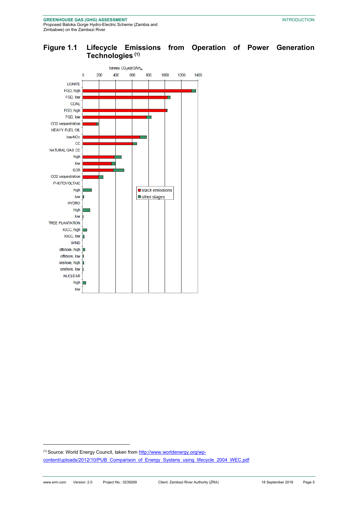

# **Figure 1.1 Lifecycle Emissions from Operation of Power Generation Technologies (1)**

(1) Source: World Energy Council, taken from http://www.worldenergy.org/wpcontent/uploads/2012/10/PUB\_Comparison\_of\_Energy\_Systens\_using\_lifecycle\_2004\_WEC.pdf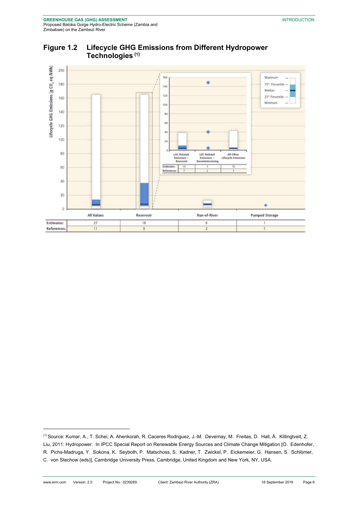

### **Figure 1.2 Lifecycle GHG Emissions from Different Hydropower Technologies (1)**

<sup>(1)</sup> Source: Kumar, A., T. Schei, A. Ahenkorah, R. Caceres Rodriguez, J.-M. Devernay, M. Freitas, D. Hall, Å. Killingtveit, Z. Liu, 2011: Hydropower. In IPCC Special Report on Renewable Energy Sources and Climate Change Mitigation [O. Edenhofer, R. Pichs-Madruga, Y. Sokona, K. Seyboth, P. Matschoss, S. Kadner, T. Zwickel, P. Eickemeier, G. Hansen, S. Schlömer, C. von Stechow (eds)], Cambridge University Press, Cambridge, United Kingdom and New York, NY, USA.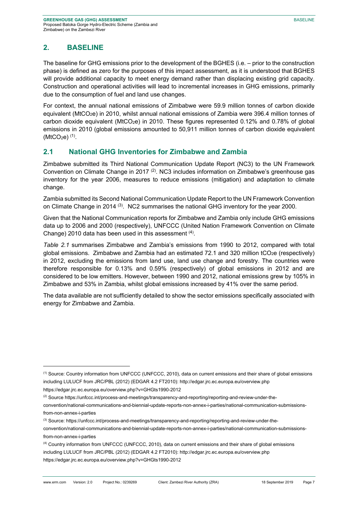# **2. BASELINE**

-

The baseline for GHG emissions prior to the development of the BGHES (i.e. – prior to the construction phase) is defined as zero for the purposes of this impact assessment, as it is understood that BGHES will provide additional capacity to meet energy demand rather than displacing existing grid capacity. Construction and operational activities will lead to incremental increases in GHG emissions, primarily due to the consumption of fuel and land use changes.

For context, the annual national emissions of Zimbabwe were 59.9 million tonnes of carbon dioxide equivalent (MtCO<sub>2</sub>e) in 2010, whilst annual national emissions of Zambia were 396.4 million tonnes of carbon dioxide equivalent (MtCO<sub>2</sub>e) in 2010. These figures represented 0.12% and 0.78% of global emissions in 2010 (global emissions amounted to 50,911 million tonnes of carbon dioxide equivalent  $(MtCO<sub>2</sub>e)$ <sup>(1)</sup>.

# **2.1 National GHG Inventories for Zimbabwe and Zambia**

Zimbabwe submitted its Third National Communication Update Report (NC3) to the UN Framework Convention on Climate Change in 2017<sup>(2)</sup>. NC3 includes information on Zimbabwe's greenhouse gas inventory for the year 2006, measures to reduce emissions (mitigation) and adaptation to climate change.

Zambia submitted its Second National Communication Update Report to the UN Framework Convention on Climate Change in 2014 (3). NC2 summarises the national GHG inventory for the year 2000.

Given that the National Communication reports for Zimbabwe and Zambia only include GHG emissions data up to 2006 and 2000 (respectively), UNFCCC (United Nation Framework Convention on Climate Change) 2010 data has been used in this assessment <sup>(4)</sup>.

*Table 2.1* summarises Zimbabwe and Zambia's emissions from 1990 to 2012, compared with total global emissions. Zimbabwe and Zambia had an estimated 72.1 and 320 million tCO<sub>2</sub>e (respectively) in 2012, excluding the emissions from land use, land use change and forestry. The countries were therefore responsible for 0.13% and 0.59% (respectively) of global emissions in 2012 and are considered to be low emitters. However, between 1990 and 2012, national emissions grew by 105% in Zimbabwe and 53% in Zambia, whilst global emissions increased by 41% over the same period.

The data available are not sufficiently detailed to show the sector emissions specifically associated with energy for Zimbabwe and Zambia.

<sup>(1)</sup> Source: Country information from UNFCCC (UNFCCC, 2010), data on current emissions and their share of global emissions including LULUCF from JRC/PBL (2012) (EDGAR 4.2 FT2010): http://edgar.jrc.ec.europa.eu/overview.php https://edgar.jrc.ec.europa.eu/overview.php?v=GHGts1990-2012

<sup>(2)</sup> Source https://unfccc.int/process-and-meetings/transparency-and-reporting/reporting-and-review-under-the-

convention/national-communications-and-biennial-update-reports-non-annex-i-parties/national-communication-submissionsfrom-non-annex-i-parties

<sup>(3)</sup> Source: https://unfccc.int/process-and-meetings/transparency-and-reporting/reporting-and-review-under-the-

convention/national-communications-and-biennial-update-reports-non-annex-i-parties/national-communication-submissionsfrom-non-annex-i-parties

<sup>(4)</sup> Country information from UNFCCC (UNFCCC, 2010), data on current emissions and their share of global emissions including LULUCF from JRC/PBL (2012) (EDGAR 4.2 FT2010): http://edgar.jrc.ec.europa.eu/overview.php https://edgar.jrc.ec.europa.eu/overview.php?v=GHGts1990-2012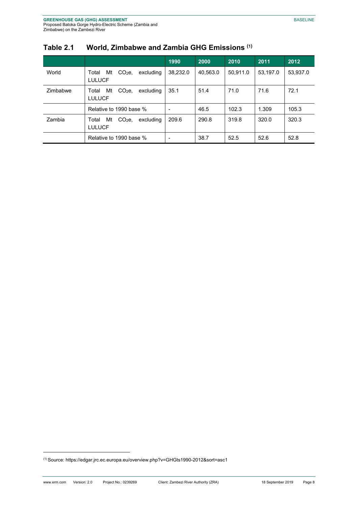|          |                                                                | 1990                     | 2000     | 2010     | 2011     | 2012     |
|----------|----------------------------------------------------------------|--------------------------|----------|----------|----------|----------|
| World    | Mt<br>CO <sub>2</sub> e<br>Total<br>excludina<br><b>LULUCF</b> | 38.232.0                 | 40,563.0 | 50,911.0 | 53,197.0 | 53,937.0 |
| Zimbabwe | Mt<br>CO <sub>2</sub> e<br>Total<br>excluding<br><b>LULUCF</b> | 35.1                     | 51.4     | 71.0     | 71.6     | 72.1     |
|          | Relative to 1990 base %                                        | $\overline{\phantom{a}}$ | 46.5     | 102.3    | 1.309    | 105.3    |
| Zambia   | Mt<br>CO <sub>2</sub> e<br>Total<br>excludina<br><b>LULUCF</b> | 209.6                    | 290.8    | 319.8    | 320.0    | 320.3    |
|          | Relative to 1990 base %                                        | $\overline{\phantom{a}}$ | 38.7     | 52.5     | 52.6     | 52.8     |

# **Table 2.1 World, Zimbabwe and Zambia GHG Emissions (1)**

<sup>(1)</sup> Source: https://edgar.jrc.ec.europa.eu/overview.php?v=GHGts1990-2012&sort=asc1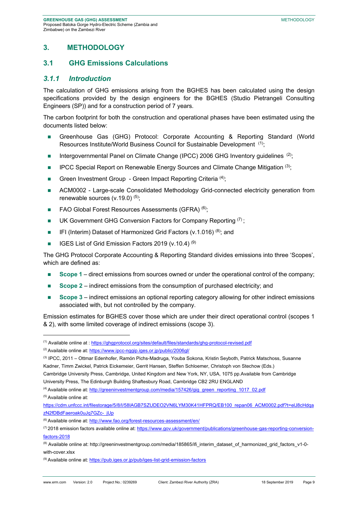### **3. METHODOLOGY**

### **3.1 GHG Emissions Calculations**

### *3.1.1 Introduction*

The calculation of GHG emissions arising from the BGHES has been calculated using the design specifications provided by the design engineers for the BGHES (Studio Pietrangeli Consulting Engineers (SP)) and for a construction period of 7 years.

The carbon footprint for both the construction and operational phases have been estimated using the documents listed below:

- Greenhouse Gas (GHG) Protocol: Corporate Accounting & Reporting Standard (World Resources Institute/World Business Council for Sustainable Development (1);
- Intergovernmental Panel on Climate Change (IPCC) 2006 GHG Inventory guidelines  $(2)$ ;
- **IPCC Special Report on Renewable Energy Sources and Climate Change Mitigation**  $(3)$ ;
- Green Investment Group Green Impact Reporting Criteria  $(4)$ ;
- ACM0002 Large-scale Consolidated Methodology Grid-connected electricity generation from renewable sources  $(v.19.0)^{(5)}$ ;
- FAO Global Forest Resources Assessments (GFRA) (6);
- UK Government GHG Conversion Factors for Company Reporting  $(7)$ ;
- **IFI** (Interim) Dataset of Harmonized Grid Factors (v.1.016)<sup>(8)</sup>; and
- **IGES List of Grid Emission Factors 2019 (v.10.4)** (9)

The GHG Protocol Corporate Accounting & Reporting Standard divides emissions into three 'Scopes', which are defined as:

- **Scope 1** direct emissions from sources owned or under the operational control of the company;
- **Scope 2** indirect emissions from the consumption of purchased electricity; and
- **Scope 3** indirect emissions an optional reporting category allowing for other indirect emissions associated with, but not controlled by the company.

Emission estimates for BGHES cover those which are under their direct operational control (scopes 1 & 2), with some limited coverage of indirect emissions (scope 3).

Cambridge University Press, Cambridge, United Kingdom and New York, NY, USA, 1075 pp.Available from Cambridge University Press, The Edinburgh Building Shaftesbury Road, Cambridge CB2 2RU ENGLAND

<sup>(1)</sup> Available online at : https://ghgprotocol.org/sites/default/files/standards/ghg-protocol-revised.pdf

<sup>&</sup>lt;sup>(2)</sup> Available online at: https://www.ipcc-nggip.iges.or.jp/public/2006gl/

<sup>(3)</sup> IPCC, 2011 – Ottmar Edenhofer, Ramón Pichs-Madruga, Youba Sokona, Kristin Seyboth, Patrick Matschoss, Susanne Kadner, Timm Zwickel, Patrick Eickemeier, Gerrit Hansen, Steffen Schloemer, Christoph von Stechow (Eds.)

<sup>(4)</sup> Available online at: http://greeninvestmentgroup.com/media/157426/gig\_green\_reporting\_1017\_02.pdf

<sup>(5)</sup> Available online at:

https://cdm.unfccc.int/filestorage/5/8/I/58IAGB7SZUDEO2VN6LYM30K41HFPRQ/EB100\_repan06\_ACM0002.pdf?t=elJ8cHdqa zN2fDBdFaeroak0uJq7GZc-\_jUp

<sup>(6)</sup> Available online at: http://www.fao.org/forest-resources-assessment/en/

 $(7)$  2018 emission factors available online at: https://www.gov.uk/government/publications/greenhouse-gas-reporting-conversionfactors-2018

<sup>(8)</sup> Available online at: http://greeninvestmentgroup.com/media/185865/ifi\_interim\_dataset\_of\_harmonized\_grid\_factors\_v1-0 with-cover.xlsx

<sup>(9)</sup> Available online at: https://pub.iges.or.jp/pub/iges-list-grid-emission-factors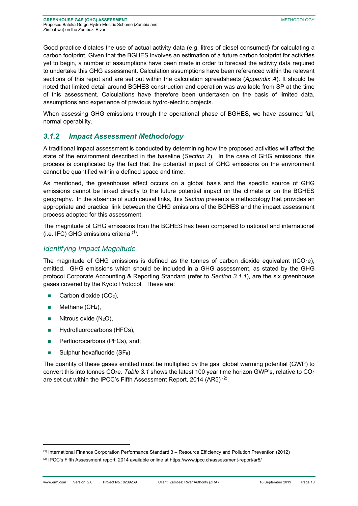Good practice dictates the use of actual activity data (e.g. litres of diesel consumed) for calculating a carbon footprint. Given that the BGHES involves an estimation of a future carbon footprint for activities yet to begin, a number of assumptions have been made in order to forecast the activity data required to undertake this GHG assessment. Calculation assumptions have been referenced within the relevant sections of this repot and are set out within the calculation spreadsheets (*Appendix A*). It should be noted that limited detail around BGHES construction and operation was available from SP at the time of this assessment. Calculations have therefore been undertaken on the basis of limited data, assumptions and experience of previous hydro-electric projects.

When assessing GHG emissions through the operational phase of BGHES, we have assumed full, normal operability.

# *3.1.2 Impact Assessment Methodology*

A traditional impact assessment is conducted by determining how the proposed activities will affect the state of the environment described in the baseline (*Section 2*). In the case of GHG emissions, this process is complicated by the fact that the potential impact of GHG emissions on the environment cannot be quantified within a defined space and time.

As mentioned, the greenhouse effect occurs on a global basis and the specific source of GHG emissions cannot be linked directly to the future potential impact on the climate or on the BGHES geography. In the absence of such causal links, this *Section* presents a methodology that provides an appropriate and practical link between the GHG emissions of the BGHES and the impact assessment process adopted for this assessment.

The magnitude of GHG emissions from the BGHES has been compared to national and international (i.e. IFC) GHG emissions criteria <sup>(1)</sup>.

### *Identifying Impact Magnitude*

The magnitude of GHG emissions is defined as the tonnes of carbon dioxide equivalent (tCO<sub>2</sub>e). emitted. GHG emissions which should be included in a GHG assessment, as stated by the GHG protocol Corporate Accounting & Reporting Standard (refer to *Section 3.1.1*), are the six greenhouse gases covered by the Kyoto Protocol. These are:

- Carbon dioxide (CO<sub>2</sub>),
- Methane (CH<sub>4</sub>),

1

- $\blacksquare$  Nitrous oxide (N<sub>2</sub>O),
- **Hydrofluorocarbons (HFCs),**
- **Perfluorocarbons (PFCs), and;**
- Sulphur hexafluoride  $(SF_6)$

The quantity of these gases emitted must be multiplied by the gas' global warming potential (GWP) to convert this into tonnes CO2e. *Table 3.1* shows the latest 100 year time horizon GWP's, relative to CO2 are set out within the IPCC's Fifth Assessment Report, 2014 (AR5)<sup>(2)</sup>.

 $<sup>(1)</sup>$  International Finance Corporation Performance Standard 3 – Resource Efficiency and Pollution Prevention (2012)</sup>

<sup>(2)</sup> IPCC's Fifth Assessment report, 2014 available online at https://www.ipcc.ch/assessment-report/ar5/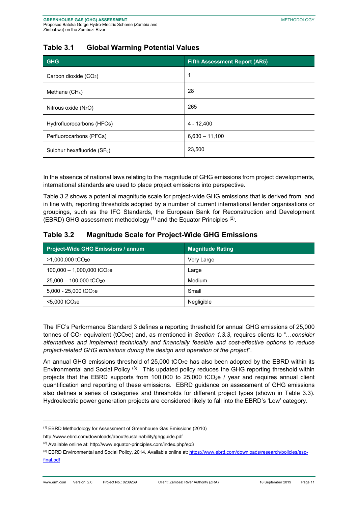# **Table 3.1 Global Warming Potential Values**

| <b>GHG</b>                        | <b>Fifth Assessment Report (AR5)</b> |
|-----------------------------------|--------------------------------------|
| Carbon dioxide (CO <sub>2</sub> ) | 1                                    |
| Methane (CH <sub>4</sub> )        | 28                                   |
| Nitrous oxide $(N_2O)$            | 265                                  |
| Hydrofluorocarbons (HFCs)         | $4 - 12,400$                         |
| Perfluorocarbons (PFCs)           | $6,630 - 11,100$                     |
| Sulphur hexafluoride (SF6)        | 23,500                               |

In the absence of national laws relating to the magnitude of GHG emissions from project developments, international standards are used to place project emissions into perspective.

Table 3.2 shows a potential magnitude scale for project-wide GHG emissions that is derived from, and in line with, reporting thresholds adopted by a number of current international lender organisations or groupings, such as the IFC Standards, the European Bank for Reconstruction and Development (EBRD) GHG assessment methodology  $(1)$  and the Equator Principles  $(2)$ .

# **Table 3.2 Magnitude Scale for Project-Wide GHG Emissions**

| <b>Project-Wide GHG Emissions / annum</b> | <b>Magnitude Rating</b> |
|-------------------------------------------|-------------------------|
| $>1,000,000$ tCO <sub>2</sub> e           | Very Large              |
| $100,000 - 1,000,000$ tCO <sub>2</sub> e  | Large                   |
| $25,000 - 100,000$ tCO <sub>2</sub> e     | Medium                  |
| $5,000 - 25,000$ tCO <sub>2</sub> e       | Small                   |
| $< 5.000$ tCO <sub>2</sub> e              | Negligible              |

The IFC's Performance Standard 3 defines a reporting threshold for annual GHG emissions of 25,000 tonnes of CO<sub>2</sub> equivalent (tCO<sub>2</sub>e) and, as mentioned in *Section 1.3.3*, requires clients to "...consider *alternatives and implement technically and financially feasible and cost-effective options to reduce project-related GHG emissions during the design and operation of the project*".

An annual GHG emissions threshold of 25,000 tCO<sub>2</sub>e has also been adopted by the EBRD within its Environmental and Social Policy<sup>(3)</sup>. This updated policy reduces the GHG reporting threshold within projects that the EBRD supports from 100,000 to 25,000 tCO<sub>2</sub>e / year and requires annual client quantification and reporting of these emissions. EBRD guidance on assessment of GHG emissions also defines a series of categories and thresholds for different project types (shown in Table 3.3). Hydroelectric power generation projects are considered likely to fall into the EBRD's 'Low' category.

<sup>(1)</sup> EBRD Methodology for Assessment of Greenhouse Gas Emissions (2010)

http://www.ebrd.com/downloads/about/sustainability/ghgguide.pdf

<sup>(2)</sup> Available online at: http://www.equator-principles.com/index.php/ep3

<sup>&</sup>lt;sup>(3)</sup> EBRD Environmental and Social Policy, 2014. Available online at: https://www.ebrd.com/downloads/research/policies/espfinal.pdf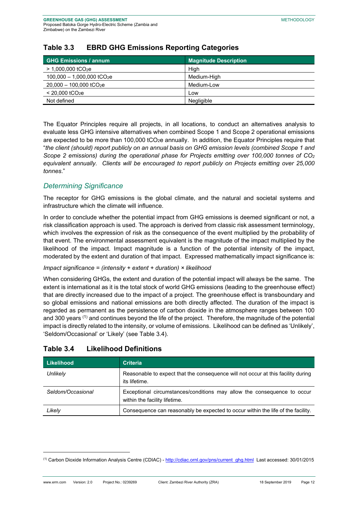| <b>GHG Emissions / annum</b>             | <b>Magnitude Description</b> |
|------------------------------------------|------------------------------|
| $> 1,000,000$ tCO <sub>2</sub> e         | High                         |
| $100,000 - 1,000,000$ tCO <sub>2</sub> e | Medium-High                  |
| $20,000 - 100,000$ tCO <sub>2</sub> e    | Medium-Low                   |
| $< 20,000$ tCO <sub>2</sub> e            | Low                          |
| Not defined                              | Negligible                   |

# **Table 3.3 EBRD GHG Emissions Reporting Categories**

The Equator Principles require all projects, in all locations, to conduct an alternatives analysis to evaluate less GHG intensive alternatives when combined Scope 1 and Scope 2 operational emissions are expected to be more than 100,000 tCO<sub>2</sub>e annually. In addition, the Equator Principles require that "*the client (should) report publicly on an annual basis on GHG emission levels (combined Scope 1 and Scope 2 emissions) during the operational phase for Projects emitting over 100,000 tonnes of CO2 equivalent annually. Clients will be encouraged to report publicly on Projects emitting over 25,000 tonnes*."

# *Determining Significance*

The receptor for GHG emissions is the global climate, and the natural and societal systems and infrastructure which the climate will influence.

In order to conclude whether the potential impact from GHG emissions is deemed significant or not, a risk classification approach is used. The approach is derived from classic risk assessment terminology, which involves the expression of risk as the consequence of the event multiplied by the probability of that event. The environmental assessment equivalent is the magnitude of the impact multiplied by the likelihood of the impact. Impact magnitude is a function of the potential intensity of the impact, moderated by the extent and duration of that impact. Expressed mathematically impact significance is:

### *Impact significance = (intensity + extent + duration) × likelihood*

When considering GHGs, the extent and duration of the potential impact will always be the same. The extent is international as it is the total stock of world GHG emissions (leading to the greenhouse effect) that are directly increased due to the impact of a project. The greenhouse effect is transboundary and so global emissions and national emissions are both directly affected. The duration of the impact is regarded as permanent as the persistence of carbon dioxide in the atmosphere ranges between 100 and 300 years <sup>(1)</sup> and continues beyond the life of the project. Therefore, the magnitude of the potential impact is directly related to the intensity, or volume of emissions. Likelihood can be defined as 'Unlikely', 'Seldom/Occasional' or 'Likely' (see Table 3.4).

| Likelihood        | <b>Criteria</b>                                                                                          |
|-------------------|----------------------------------------------------------------------------------------------------------|
| Unlikely          | Reasonable to expect that the consequence will not occur at this facility during<br>its lifetime.        |
| Seldom/Occasional | Exceptional circumstances/conditions may allow the consequence to occur<br>within the facility lifetime. |
| Likely            | Consequence can reasonably be expected to occur within the life of the facility.                         |

# **Table 3.4 Likelihood Definitions**

<sup>&</sup>lt;sup>(1)</sup> Carbon Dioxide Information Analysis Centre (CDIAC) - http://cdiac.ornl.gov/pns/current\_ghg.html Last accessed: 30/01/2015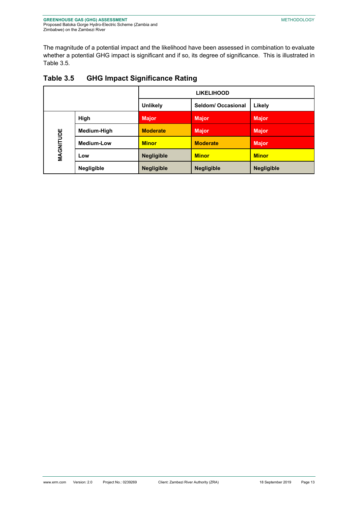The magnitude of a potential impact and the likelihood have been assessed in combination to evaluate whether a potential GHG impact is significant and if so, its degree of significance. This is illustrated in Table 3.5*.* 

|           |                   | <b>LIKELIHOOD</b> |                    |                   |  |
|-----------|-------------------|-------------------|--------------------|-------------------|--|
|           |                   | <b>Unlikely</b>   | Seldom/ Occasional | Likely            |  |
|           | High              | <b>Major</b>      | <b>Major</b>       | <b>Major</b>      |  |
| MAGNITUDE | Medium-High       | <b>Moderate</b>   | <b>Major</b>       | <b>Major</b>      |  |
|           | <b>Medium-Low</b> | <b>Minor</b>      | <b>Moderate</b>    | <b>Major</b>      |  |
|           | Low               | <b>Negligible</b> | <b>Minor</b>       | <b>Minor</b>      |  |
|           | <b>Negligible</b> | <b>Negligible</b> | <b>Negligible</b>  | <b>Negligible</b> |  |

# **Table 3.5 GHG Impact Significance Rating**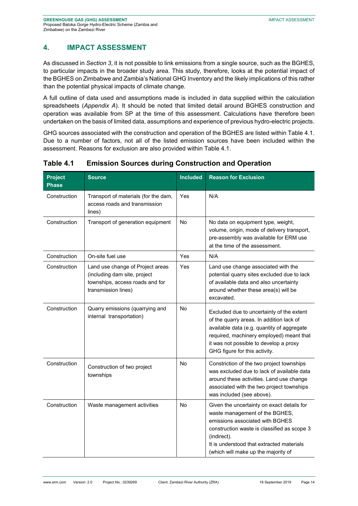# **4. IMPACT ASSESSMENT**

As discussed in *Section 3*, it is not possible to link emissions from a single source, such as the BGHES, to particular impacts in the broader study area. This study, therefore, looks at the potential impact of the BGHES on Zimbabwe and Zambia's National GHG Inventory and the likely implications of this rather than the potential physical impacts of climate change.

A full outline of data used and assumptions made is included in data supplied within the calculation spreadsheets (*Appendix A*). It should be noted that limited detail around BGHES construction and operation was available from SP at the time of this assessment. Calculations have therefore been undertaken on the basis of limited data, assumptions and experience of previous hydro-electric projects.

GHG sources associated with the construction and operation of the BGHES are listed within Table 4.1. Due to a number of factors, not all of the listed emission sources have been included within the assessment. Reasons for exclusion are also provided within Table 4.1.

| <b>Project</b><br><b>Phase</b> | <b>Source</b>                                                                                                              | <b>Included</b> | <b>Reason for Exclusion</b>                                                                                                                                                                                                                                       |
|--------------------------------|----------------------------------------------------------------------------------------------------------------------------|-----------------|-------------------------------------------------------------------------------------------------------------------------------------------------------------------------------------------------------------------------------------------------------------------|
| Construction                   | Transport of materials (for the dam,<br>access roads and transmission<br>lines)                                            | Yes             | N/A                                                                                                                                                                                                                                                               |
| Construction                   | Transport of generation equipment                                                                                          | No              | No data on equipment type, weight,<br>volume, origin, mode of delivery transport,<br>pre-assembly was available for ERM use<br>at the time of the assessment.                                                                                                     |
| Construction                   | On-site fuel use                                                                                                           | Yes             | N/A                                                                                                                                                                                                                                                               |
| Construction                   | Land use change of Project areas<br>(including dam site, project<br>townships, access roads and for<br>transmission lines) | Yes             | Land use change associated with the<br>potential quarry sites excluded due to lack<br>of available data and also uncertainty<br>around whether these area(s) will be<br>excavated.                                                                                |
| Construction                   | Quarry emissions (quarrying and<br>internal transportation)                                                                | No              | Excluded due to uncertainty of the extent<br>of the quarry areas. In addition lack of<br>available data (e.g. quantity of aggregate<br>required, machinery employed) meant that<br>it was not possible to develop a proxy<br>GHG figure for this activity.        |
| Construction                   | Construction of two project<br>townships                                                                                   | No              | Constriction of the two project townships<br>was excluded due to lack of available data<br>around these activities. Land use change<br>associated with the two project townships<br>was included (see above).                                                     |
| Construction                   | Waste management activities                                                                                                | <b>No</b>       | Given the uncertainty on exact details for<br>waste management of the BGHES,<br>emissions associated with BGHES<br>construction waste is classified as scope 3<br>(indirect).<br>It is understood that extracted materials<br>(which will make up the majority of |

**Table 4.1 Emission Sources during Construction and Operation**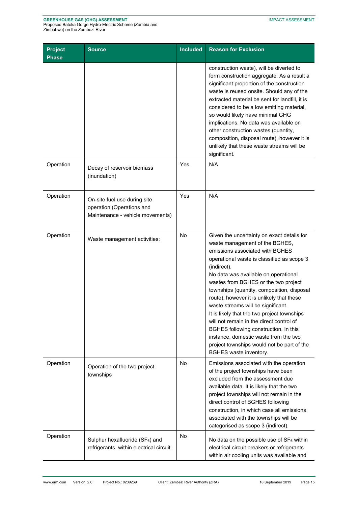### **GREENHOUSE GAS (GHG) ASSESSMENT**

Proposed Batoka Gorge Hydro-Electric Scheme (Zambia and Zimbabwe) on the Zambezi River

| <b>Project</b><br><b>Phase</b> | <b>Source</b>                                                                                 | <b>Included</b> | <b>Reason for Exclusion</b>                                                                                                                                                                                                                                                                                                                                                                                                                                                                                                                                                                                                                        |
|--------------------------------|-----------------------------------------------------------------------------------------------|-----------------|----------------------------------------------------------------------------------------------------------------------------------------------------------------------------------------------------------------------------------------------------------------------------------------------------------------------------------------------------------------------------------------------------------------------------------------------------------------------------------------------------------------------------------------------------------------------------------------------------------------------------------------------------|
|                                |                                                                                               |                 | construction waste), will be diverted to<br>form construction aggregate. As a result a<br>significant proportion of the construction<br>waste is reused onsite. Should any of the<br>extracted material be sent for landfill, it is<br>considered to be a low emitting material,<br>so would likely have minimal GHG<br>implications. No data was available on<br>other construction wastes (quantity,<br>composition, disposal route), however it is<br>unlikely that these waste streams will be<br>significant.                                                                                                                                 |
| Operation                      | Decay of reservoir biomass<br>(inundation)                                                    | Yes             | N/A                                                                                                                                                                                                                                                                                                                                                                                                                                                                                                                                                                                                                                                |
| Operation                      | On-site fuel use during site<br>operation (Operations and<br>Maintenance - vehicle movements) | Yes             | N/A                                                                                                                                                                                                                                                                                                                                                                                                                                                                                                                                                                                                                                                |
| Operation                      | Waste management activities:                                                                  | <b>No</b>       | Given the uncertainty on exact details for<br>waste management of the BGHES,<br>emissions associated with BGHES<br>operational waste is classified as scope 3<br>(indirect).<br>No data was available on operational<br>wastes from BGHES or the two project<br>townships (quantity, composition, disposal<br>route), however it is unlikely that these<br>waste streams will be significant.<br>It is likely that the two project townships<br>will not remain in the direct control of<br>BGHES following construction. In this<br>instance, domestic waste from the two<br>project townships would not be part of the<br>BGHES waste inventory. |
| Operation                      | Operation of the two project<br>townships                                                     | <b>No</b>       | Emissions associated with the operation<br>of the project townships have been<br>excluded from the assessment due<br>available data. It is likely that the two<br>project townships will not remain in the<br>direct control of BGHES following<br>construction, in which case all emissions<br>associated with the townships will be<br>categorised as scope 3 (indirect).                                                                                                                                                                                                                                                                        |
| Operation                      | Sulphur hexafluoride ( $SF_6$ ) and<br>refrigerants, within electrical circuit                | <b>No</b>       | No data on the possible use of $SF_6$ within<br>electrical circuit breakers or refrigerants<br>within air cooling units was available and                                                                                                                                                                                                                                                                                                                                                                                                                                                                                                          |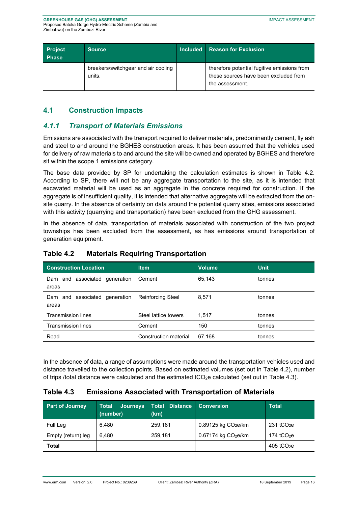#### **GREENHOUSE GAS (GHG) ASSESSMENT**  Proposed Batoka Gorge Hydro-Electric Scheme (Zambia and

Zimbabwe) on the Zambezi River

| <b>Project</b><br><b>Phase</b> | <b>Source</b>                                 | <b>Included</b> | <b>Reason for Exclusion</b>                                                                             |
|--------------------------------|-----------------------------------------------|-----------------|---------------------------------------------------------------------------------------------------------|
|                                | breakers/switchgear and air cooling<br>units. |                 | therefore potential fugitive emissions from<br>these sources have been excluded from<br>the assessment. |

# **4.1 Construction Impacts**

### *4.1.1 Transport of Materials Emissions*

Emissions are associated with the transport required to deliver materials, predominantly cement, fly ash and steel to and around the BGHES construction areas. It has been assumed that the vehicles used for delivery of raw materials to and around the site will be owned and operated by BGHES and therefore sit within the scope 1 emissions category.

The base data provided by SP for undertaking the calculation estimates is shown in Table 4.2. According to SP, there will not be any aggregate transportation to the site, as it is intended that excavated material will be used as an aggregate in the concrete required for construction. If the aggregate is of insufficient quality, it is intended that alternative aggregate will be extracted from the onsite quarry. In the absence of certainty on data around the potential quarry sites, emissions associated with this activity (quarrying and transportation) have been excluded from the GHG assessment.

In the absence of data, transportation of materials associated with construction of the two project townships has been excluded from the assessment, as has emissions around transportation of generation equipment.

| <b>Construction Location</b>           | <b>Item</b>              | <b>Volume</b> | <b>Unit</b> |
|----------------------------------------|--------------------------|---------------|-------------|
| Dam and associated generation<br>areas | Cement                   | 65,143        | tonnes      |
| Dam and associated generation<br>areas | <b>Reinforcing Steel</b> | 8,571         | tonnes      |
| <b>Transmission lines</b>              | Steel lattice towers     | 1.517         | tonnes      |
| <b>Transmission lines</b>              | Cement                   | 150           | tonnes      |
| Road                                   | Construction material    | 67,168        | tonnes      |

### **Table 4.2 Materials Requiring Transportation**

In the absence of data, a range of assumptions were made around the transportation vehicles used and distance travelled to the collection points. Based on estimated volumes (set out in Table 4.2), number of trips /total distance were calculated and the estimated tCO<sub>2</sub>e calculated (set out in Table 4.3).

# **Table 4.3 Emissions Associated with Transportation of Materials**

| <b>Part of Journey</b> | <b>Total</b><br><b>Journeys</b><br>(number) | <b>Total Distance</b><br>(km) | <b>Conversion</b>      | Total                    |
|------------------------|---------------------------------------------|-------------------------------|------------------------|--------------------------|
| Full Leg               | 6.480                                       | 259,181                       | $0.89125$ kg $CO2e/km$ | $231$ tCO <sub>2</sub> e |
| Empty (return) leg     | 6.480                                       | 259,181                       | $0.67174$ kg $CO2e/km$ | 174 $tCO2e$              |
| Total                  |                                             |                               |                        | 405 tCO $_{2}e$          |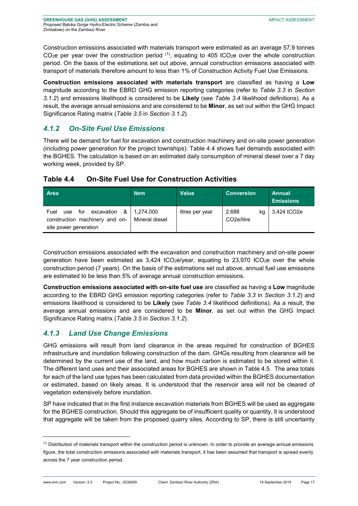Construction emissions associated with materials transport were estimated as an average 57.9 tonnes  $CO<sub>2</sub>e$  per year over the construction period  $(1)$ , equating to 405 tCO<sub>2</sub>e over the whole construction period. On the basis of the estimations set out above, annual construction emissions associated with transport of materials therefore amount to less than 1% of Construction Activity Fuel Use Emissions.

**Construction emissions associated with materials transport** are classified as having a **Low** magnitude according to the EBRD GHG emission reporting categories (refer to *Table 3.3* in *Section 3.1.2*) and emissions likelihood is considered to be **Likely** (see *Table 3.4* likelihood definitions). As a result, the average annual emissions and are considered to be **Minor**, as set out within the GHG Impact Significance Rating matrix (*Table 3.5* in *Section 3.1.2*).

# *4.1.2 On-Site Fuel Use Emissions*

There will be demand for fuel for excavation and construction machinery and on-site power generation (including power generation for the project townships). Table 4.4 shows fuel demands associated with the BGHES. The calculation is based on an estimated daily consumption of mineral diesel over a 7 day working week, provided by SP.

| <b>On-Site Fuel Use for Construction Activities</b><br>Table 4.4 |
|------------------------------------------------------------------|
|------------------------------------------------------------------|

| <b>Area</b>                                                                                      | <b>Item</b>                 | <b>Value</b>    | <b>Conversion</b>                      | <b>Annual</b><br><b>Emissions</b> |
|--------------------------------------------------------------------------------------------------|-----------------------------|-----------------|----------------------------------------|-----------------------------------|
| excavation<br>&<br>for<br>Fuel<br>use<br>construction machinery and on-<br>site power generation | 1.274.000<br>Mineral diesel | litres per year | 2.688<br>ka<br>CO <sub>2</sub> e/litre | 3,424 tCO2e                       |

Construction emissions associated with the excavation and construction machinery and on-site power generation have been estimated as  $3,424$  tCO<sub>2</sub>e/year, equating to  $23,970$  tCO<sub>2</sub>e over the whole construction period (7 years). On the basis of the estimations set out above, annual fuel use emissions are estimated to be less than 5% of average annual construction emissions.

**Construction emissions associated with on-site fuel use** are classified as having a **Low** magnitude according to the EBRD GHG emission reporting categories (refer to *Table 3.3* in *Section 3.1.2*) and emissions likelihood is considered to be **Likely** (see *Table 3.4* likelihood definitions). As a result, the average annual emissions and are considered to be **Minor**, as set out within the GHG Impact Significance Rating matrix (*Table 3.5* in *Section 3.1.2*).

# *4.1.3 Land Use Change Emissions*

-

GHG emissions will result from land clearance in the areas required for construction of BGHES infrastructure and inundation following construction of the dam. GHGs resulting from clearance will be determined by the current use of the land, and how much carbon is estimated to be stored within it. The different land uses and their associated areas for BGHES are shown in Table 4.5*.* The area totals for each of the land use types has been calculated from data provided within the BGHES documentation or estimated, based on likely areas. It is understood that the reservoir area will not be cleared of vegetation extensively before inundation.

SP have indicated that in the first instance excavation materials from BGHES will be used as aggregate for the BGHES construction. Should this aggregate be of insufficient quality or quantity, it is understood that aggregate will be taken from the proposed quarry sites. According to SP, there is still uncertainty

<sup>(1)</sup> Distribution of materials transport within the construction period is unknown. In order to provide an average annual emissions figure, the total construction emissions associated with materials transport, it has been assumed that transport is spread evenly across the 7 year construction period.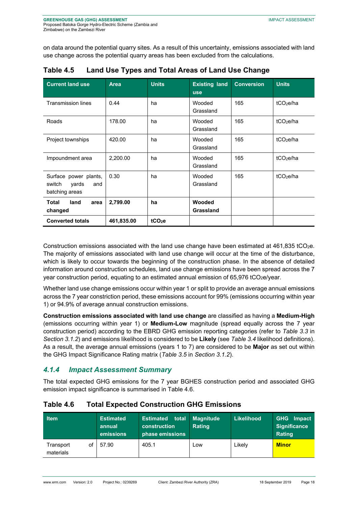on data around the potential quarry sites. As a result of this uncertainty, emissions associated with land use change across the potential quarry areas has been excluded from the calculations.

| <b>Current land use</b>                                           | <b>Area</b> | <b>Units</b>       | <b>Existing land</b><br><b>use</b> | <b>Conversion</b> | <b>Units</b>          |
|-------------------------------------------------------------------|-------------|--------------------|------------------------------------|-------------------|-----------------------|
| <b>Transmission lines</b>                                         | 0.44        | ha                 | Wooded<br>Grassland                | 165               | tCO <sub>2</sub> e/ha |
| Roads                                                             | 178.00      | ha                 | Wooded<br>Grassland                | 165               | tCO <sub>2</sub> e/ha |
| Project townships                                                 | 420.00      | ha                 | Wooded<br>Grassland                | 165               | tCO <sub>2</sub> e/ha |
| Impoundment area                                                  | 2,200.00    | ha                 | Wooded<br>Grassland                | 165               | tCO <sub>2</sub> e/ha |
| Surface power plants,<br>switch<br>yards<br>and<br>batching areas | 0.30        | ha                 | Wooded<br>Grassland                | 165               | tCO <sub>2</sub> e/ha |
| Total<br>land<br>area<br>changed                                  | 2,799.00    | ha                 | Wooded<br>Grassland                |                   |                       |
| <b>Converted totals</b>                                           | 461,835.00  | tCO <sub>2</sub> e |                                    |                   |                       |

| Table 4.5 |  |  | Land Use Types and Total Areas of Land Use Change |
|-----------|--|--|---------------------------------------------------|
|-----------|--|--|---------------------------------------------------|

Construction emissions associated with the land use change have been estimated at 461,835 tCO2e. The majority of emissions associated with land use change will occur at the time of the disturbance, which is likely to occur towards the beginning of the construction phase. In the absence of detailed information around construction schedules, land use change emissions have been spread across the 7 year construction period, equating to an estimated annual emission of 65,976 tCO2e/year.

Whether land use change emissions occur within year 1 or split to provide an average annual emissions across the 7 year constriction period, these emissions account for 99% (emissions occurring within year 1) or 94.9% of average annual construction emissions.

**Construction emissions associated with land use change** are classified as having a **Medium-High** (emissions occurring within year 1) or **Medium-Low** magnitude (spread equally across the 7 year construction period) according to the EBRD GHG emission reporting categories (refer to *Table 3.3* in *Section 3.1.2*) and emissions likelihood is considered to be **Likely** (see *Table 3.4* likelihood definitions). As a result, the average annual emissions (years 1 to 7) are considered to be **Major** as set out within the GHG Impact Significance Rating matrix (*Table 3.5* in *Section 3.1.2*).

# *4.1.4 Impact Assessment Summary*

The total expected GHG emissions for the 7 year BGHES construction period and associated GHG emission impact significance is summarised in Table 4.6.

| <b>Item</b>                  | <b>Estimated</b><br>annual<br>emissions | <b>Estimated total Magnitude</b><br>construction<br>phase emissions | <b>Rating</b> | <b>Likelihood</b> | <b>GHG</b> Impact<br><b>Significance</b><br><b>Rating</b> |
|------------------------------|-----------------------------------------|---------------------------------------------------------------------|---------------|-------------------|-----------------------------------------------------------|
| Transport<br>of<br>materials | 57.90                                   | 405.1                                                               | Low           | ∟ikely            | <b>Minor</b>                                              |

### **Table 4.6 Total Expected Construction GHG Emissions**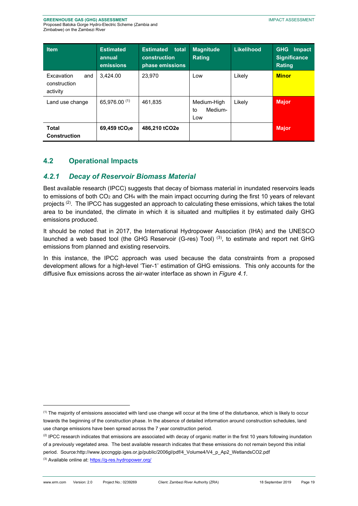| <b>Item</b>                                   | <b>Estimated</b><br>annual<br>emissions | <b>Estimated</b><br>total<br>construction<br>phase emissions | <b>Magnitude</b><br><b>Rating</b>   | Likelihood | <b>GHG</b><br>Impact<br><b>Significance</b><br><b>Rating</b> |
|-----------------------------------------------|-----------------------------------------|--------------------------------------------------------------|-------------------------------------|------------|--------------------------------------------------------------|
| Excavation<br>and<br>construction<br>activity | 3.424.00                                | 23.970                                                       | Low                                 | Likely     | <b>Minor</b>                                                 |
| Land use change                               | 65,976.00 (1)                           | 461.835                                                      | Medium-High<br>Medium-<br>to<br>Low | Likely     | <b>Major</b>                                                 |
| <b>Total</b><br><b>Construction</b>           | 69,459 tCO <sub>2</sub> e               | 486,210 tCO2e                                                |                                     |            | <b>Major</b>                                                 |

# **4.2 Operational Impacts**

# *4.2.1 Decay of Reservoir Biomass Material*

Best available research (IPCC) suggests that decay of biomass material in inundated reservoirs leads to emissions of both CO<sub>2</sub> and CH<sub>4</sub> with the main impact occurring during the first 10 years of relevant projects <sup>(2)</sup>. The IPCC has suggested an approach to calculating these emissions, which takes the total area to be inundated, the climate in which it is situated and multiplies it by estimated daily GHG emissions produced.

It should be noted that in 2017, the International Hydropower Association (IHA) and the UNESCO launched a web based tool (the GHG Reservoir (G-res) Tool)<sup>(3)</sup>, to estimate and report net GHG emissions from planned and existing reservoirs.

In this instance, the IPCC approach was used because the data constraints from a proposed development allows for a high-level 'Tier-1' estimation of GHG emissions. This only accounts for the diffusive flux emissions across the air-water interface as shown in *Figure 4.1.* 

<sup>(1)</sup> The majority of emissions associated with land use change will occur at the time of the disturbance, which is likely to occur towards the beginning of the construction phase. In the absence of detailed information around construction schedules, land use change emissions have been spread across the 7 year construction period.

 $(2)$  IPCC research indicates that emissions are associated with decay of organic matter in the first 10 years following inundation of a previously vegetated area. The best available research indicates that these emissions do not remain beyond this initial period. Source:http://www.ipccnggip.iges.or.jp/public/2006gl/pdf/4\_Volume4/V4\_p\_Ap2\_WetlandsCO2.pdf

<sup>(3)</sup> Available online at: https://g-res.hydropower.org/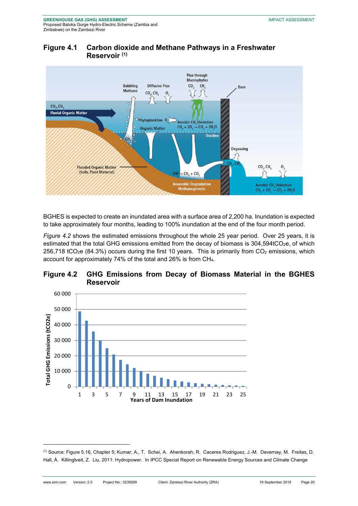

# **Figure 4.1 Carbon dioxide and Methane Pathways in a Freshwater Reservoir (1)**

BGHES is expected to create an inundated area with a surface area of 2,200 ha. Inundation is expected to take approximately four months, leading to 100% inundation at the end of the four month period.

*Figure 4.2* shows the estimated emissions throughout the whole 25 year period. Over 25 years, it is estimated that the total GHG emissions emitted from the decay of biomass is 304,594tCO<sub>2</sub>e, of which 256,718 tCO<sub>2</sub>e (84.3%) occurs during the first 10 years. This is primarily from  $CO<sub>2</sub>$  emissions, which account for approximately 74% of the total and 26% is from CH4.





<sup>(1)</sup> Source: Figure 5.16, Chapter 5; Kumar, A., T. Schei, A. Ahenkorah, R. Caceres Rodriguez, J.-M. Devernay, M. Freitas, D. Hall, Å. Killingtveit, Z. Liu, 2011: Hydropower. In IPCC Special Report on Renewable Energy Sources and Climate Change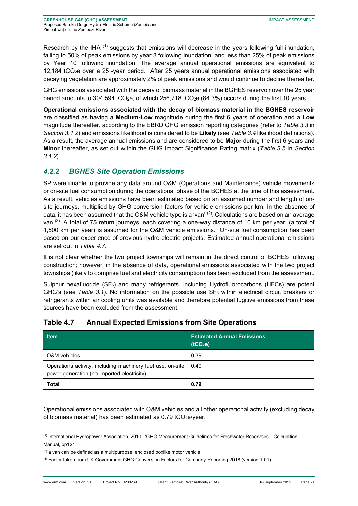Research by the IHA (1) suggests that emissions will decrease in the years following full inundation, falling to 50% of peak emissions by year 8 following inundation; and less than 25% of peak emissions by Year 10 following inundation. The average annual operational emissions are equivalent to 12,184 tCO2e over a 25 -year period. After 25 years annual operational emissions associated with decaying vegetation are approximately 2% of peak emissions and would continue to decline thereafter.

GHG emissions associated with the decay of biomass material in the BGHES reservoir over the 25 year period amounts to 304,594 tCO<sub>2</sub>e, of which 256,718 tCO<sub>2</sub>e (84.3%) occurs during the first 10 years.

**Operational emissions associated with the decay of biomass material in the BGHES reservoir**  are classified as having a **Medium-Low** magnitude during the first 6 years of operation and a **Low** magnitude thereafter, according to the EBRD GHG emission reporting categories (refer to *Table 3.3* in *Section 3.1.2*) and emissions likelihood is considered to be **Likely** (see *Table 3.4* likelihood definitions). As a result, the average annual emissions and are considered to be **Major** during the first 6 years and **Minor** thereafter, as set out within the GHG Impact Significance Rating matrix (*Table 3.5* in *Section 3.1.2*).

# *4.2.2 BGHES Site Operation Emissions*

SP were unable to provide any data around O&M (Operations and Maintenance) vehicle movements or on-site fuel consumption during the operational phase of the BGHES at the time of this assessment. As a result, vehicles emissions have been estimated based on an assumed number and length of onsite journeys, multiplied by GHG conversion factors for vehicle emissions per km. In the absence of data, it has been assumed that the O&M vehicle type is a 'van' <sup>(2)</sup>. Calculations are based on an average van <sup>(3)</sup>. A total of 75 return journeys, each covering a one-way distance of 10 km per year, (a total of 1,500 km per year) is assumed for the O&M vehicle emissions. On-site fuel consumption has been based on our experience of previous hydro-electric projects. Estimated annual operational emissions are set out in *Table 4.7.* 

It is not clear whether the two project townships will remain in the direct control of BGHES following construction; however, in the absence of data, operational emissions associated with the two project townships (likely to comprise fuel and electricity consumption) has been excluded from the assessment.

Sulphur hexafluoride  $(SF_6)$  and many refrigerants, including Hydrofluorocarbons (HFCs) are potent GHG's (see *Table 3.1*). No information on the possible use SF6 within electrical circuit breakers or refrigerants within air cooling units was available and therefore potential fugitive emissions from these sources have been excluded from the assessment.

| <b>Item</b>                                                                                              | <b>Estimated Annual Emissions</b><br>(1CO <sub>2</sub> e) |
|----------------------------------------------------------------------------------------------------------|-----------------------------------------------------------|
| O&M vehicles                                                                                             | 0.39                                                      |
| Operations activity, including machinery fuel use, on-site<br>power generation (no imported electricity) | 0.40                                                      |
| Total                                                                                                    | 0.79                                                      |

# **Table 4.7 Annual Expected Emissions from Site Operations**

Operational emissions associated with O&M vehicles and all other operational activity (excluding decay of biomass material) has been estimated as 0.79 tCO<sub>2</sub>e/year.

<sup>(1)</sup> International Hydropower Association, 2010. 'GHG Measurement Guidelines for Freshwater Reservoirs'. Calculation Manual, pp121

 $(2)$  a van can be defined as a multipurpose, enclosed boxlike motor vehicle.

<sup>(3)</sup> Factor taken from UK Government GHG Conversion Factors for Company Reporting 2018 (version 1.01)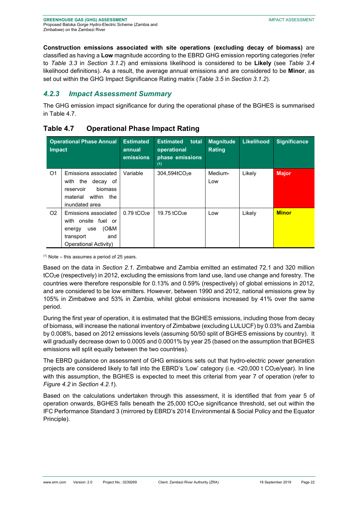**Construction emissions associated with site operations (excluding decay of biomass)** are classified as having a **Low** magnitude according to the EBRD GHG emission reporting categories (refer to *Table 3.3* in *Section 3.1.2*) and emissions likelihood is considered to be **Likely** (see *Table 3.4*  likelihood definitions). As a result, the average annual emissions and are considered to be **Minor**, as set out within the GHG Impact Significance Rating matrix (*Table 3.5* in *Section 3.1.2*).

# *4.2.3 Impact Assessment Summary*

The GHG emission impact significance for during the operational phase of the BGHES is summarised in Table 4.7.

| <b>Operational Phase Annual</b><br><b>Impact</b> |                                                                                                                          | <b>Estimated</b><br>annual<br>emissions | <b>Estimated</b><br>total<br>operational<br>phase emissions<br>(1) | <b>Magnitude</b><br><b>Rating</b> | <b>Likelihood</b> | <b>Significance</b> |
|--------------------------------------------------|--------------------------------------------------------------------------------------------------------------------------|-----------------------------------------|--------------------------------------------------------------------|-----------------------------------|-------------------|---------------------|
| O <sub>1</sub>                                   | Emissions associated<br>the<br>decay of<br>with<br>biomass<br>reservoir<br>within<br>the<br>material<br>inundated area   | Variable                                | 304,594tCO <sub>2</sub> e                                          | Medium-<br>Low                    | Likely            | <b>Major</b>        |
| O <sub>2</sub>                                   | Emissions associated<br>with onsite fuel or<br>(0&M<br>use<br>energy<br>transport<br>and<br><b>Operational Activity)</b> | $0.79$ tCO <sub>2</sub> e               | 19.75 tCO <sub>2</sub> e                                           | Low                               | Likely            | <b>Minor</b>        |

### **Table 4.7 Operational Phase Impact Rating**

 $(1)$  Note – this assumes a period of 25 years.

Based on the data in *Section 2.1*. Zimbabwe and Zambia emitted an estimated 72.1 and 320 million tCO2e (respectively) in 2012, excluding the emissions from land use, land use change and forestry. The countries were therefore responsible for 0.13% and 0.59% (respectively) of global emissions in 2012, and are considered to be low emitters. However, between 1990 and 2012, national emissions grew by 105% in Zimbabwe and 53% in Zambia, whilst global emissions increased by 41% over the same period.

During the first year of operation, it is estimated that the BGHES emissions, including those from decay of biomass, will increase the national inventory of Zimbabwe (excluding LULUCF) by 0.03% and Zambia by 0.008%, based on 2012 emissions levels (assuming 50/50 split of BGHES emissions by country). It will gradually decrease down to 0.0005 and 0.0001% by year 25 (based on the assumption that BGHES emissions will split equally between the two countries).

The EBRD guidance on assessment of GHG emissions sets out that hydro-electric power generation projects are considered likely to fall into the EBRD's 'Low' category (i.e. <20,000 t CO<sub>2</sub>e/year). In line with this assumption, the BGHES is expected to meet this criterial from year 7 of operation (refer to *Figure 4.2* in *Section 4.2.1*).

Based on the calculations undertaken through this assessment, it is identified that from year 5 of operation onwards, BGHES falls beneath the 25,000 tCO2e significance threshold, set out within the IFC Performance Standard 3 (mirrored by EBRD's 2014 Environmental & Social Policy and the Equator Principle).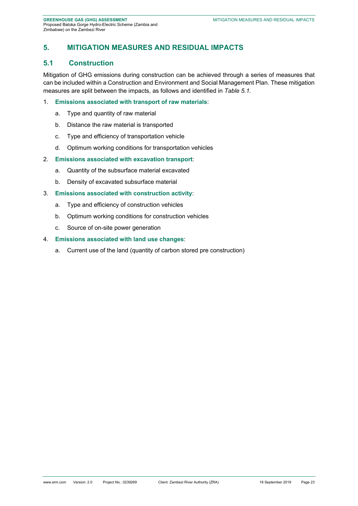# **5. MITIGATION MEASURES AND RESIDUAL IMPACTS**

### **5.1 Construction**

Mitigation of GHG emissions during construction can be achieved through a series of measures that can be included within a Construction and Environment and Social Management Plan. These mitigation measures are split between the impacts, as follows and identified in *Table 5.1.*

### 1. **Emissions associated with transport of raw materials**:

- a. Type and quantity of raw material
- b. Distance the raw material is transported
- c. Type and efficiency of transportation vehicle
- d. Optimum working conditions for transportation vehicles

### 2. **Emissions associated with excavation transport**:

- a. Quantity of the subsurface material excavated
- b. Density of excavated subsurface material

### 3. **Emissions associated with construction activity**:

- a. Type and efficiency of construction vehicles
- b. Optimum working conditions for construction vehicles
- c. Source of on-site power generation

### 4. **Emissions associated with land use changes**:

a. Current use of the land (quantity of carbon stored pre construction)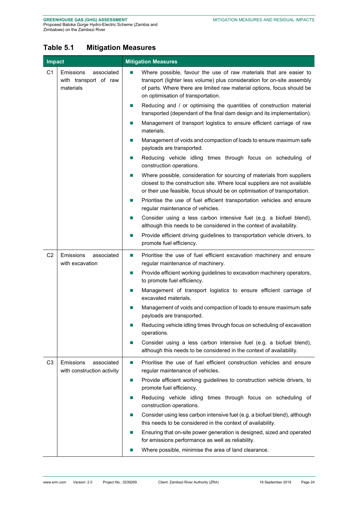# **Table 5.1 Mitigation Measures**

| Impact         |                                                                      | <b>Mitigation Measures</b>                                                                                                                                                                                                                                                                    |  |  |  |  |  |
|----------------|----------------------------------------------------------------------|-----------------------------------------------------------------------------------------------------------------------------------------------------------------------------------------------------------------------------------------------------------------------------------------------|--|--|--|--|--|
| C <sub>1</sub> | <b>Emissions</b><br>associated<br>with transport of raw<br>materials | Where possible, favour the use of raw materials that are easier to<br>$\mathcal{L}_{\mathcal{A}}$<br>transport (lighter less volume) plus consideration for on-site assembly<br>of parts. Where there are limited raw material options, focus should be<br>on optimisation of transportation. |  |  |  |  |  |
|                |                                                                      | Reducing and / or optimising the quantities of construction material<br>ш<br>transported (dependant of the final dam design and its implementation).<br>Management of transport logistics to ensure efficient carriage of raw<br>ш<br>materials.                                              |  |  |  |  |  |
|                |                                                                      | Management of voids and compaction of loads to ensure maximum safe<br>$\mathbb{Z}$<br>payloads are transported.                                                                                                                                                                               |  |  |  |  |  |
|                |                                                                      | Reducing vehicle idling times through focus on scheduling of<br>$\mathbb{R}^n$<br>construction operations.                                                                                                                                                                                    |  |  |  |  |  |
|                |                                                                      | Where possible, consideration for sourcing of materials from suppliers<br>ш<br>closest to the construction site. Where local suppliers are not available<br>or their use feasible, focus should be on optimisation of transportation.                                                         |  |  |  |  |  |
|                |                                                                      | Prioritise the use of fuel efficient transportation vehicles and ensure<br>ш<br>regular maintenance of vehicles.                                                                                                                                                                              |  |  |  |  |  |
|                |                                                                      | Consider using a less carbon intensive fuel (e.g. a biofuel blend),<br>ш<br>although this needs to be considered in the context of availability.                                                                                                                                              |  |  |  |  |  |
|                |                                                                      | Provide efficient driving guidelines to transportation vehicle drivers, to<br>ш<br>promote fuel efficiency.                                                                                                                                                                                   |  |  |  |  |  |
| C <sub>2</sub> | Emissions<br>associated<br>with excavation                           | Prioritise the use of fuel efficient excavation machinery and ensure<br>$\mathbb{R}^n$<br>regular maintenance of machinery.                                                                                                                                                                   |  |  |  |  |  |
|                |                                                                      | Provide efficient working guidelines to excavation machinery operators,<br>$\mathbb{R}^n$<br>to promote fuel efficiency.                                                                                                                                                                      |  |  |  |  |  |
|                |                                                                      | Management of transport logistics to ensure efficient carriage of<br>ш<br>excavated materials.                                                                                                                                                                                                |  |  |  |  |  |
|                |                                                                      | Management of voids and compaction of loads to ensure maximum safe<br>ш<br>payloads are transported.                                                                                                                                                                                          |  |  |  |  |  |
|                |                                                                      | Reducing vehicle idling times through focus on scheduling of excavation<br>operations.                                                                                                                                                                                                        |  |  |  |  |  |
|                |                                                                      | Consider using a less carbon intensive fuel (e.g. a biofuel blend),<br>$\mathcal{L}_{\mathcal{A}}$<br>although this needs to be considered in the context of availability.                                                                                                                    |  |  |  |  |  |
| C <sub>3</sub> | Emissions<br>associated<br>with construction activity                | Prioritise the use of fuel efficient construction vehicles and ensure<br>$\mathbb{R}^n$<br>regular maintenance of vehicles.                                                                                                                                                                   |  |  |  |  |  |
|                |                                                                      | Provide efficient working guidelines to construction vehicle drivers, to<br>$\mathbb{Z}$<br>promote fuel efficiency.                                                                                                                                                                          |  |  |  |  |  |
|                |                                                                      | Reducing vehicle idling times through focus on scheduling of<br>ш<br>construction operations.                                                                                                                                                                                                 |  |  |  |  |  |
|                |                                                                      | Consider using less carbon intensive fuel (e.g. a biofuel blend), although<br>ш<br>this needs to be considered in the context of availability.                                                                                                                                                |  |  |  |  |  |
|                |                                                                      | Ensuring that on-site power generation is designed, sized and operated<br>$\mathcal{L}_{\mathcal{A}}$<br>for emissions performance as well as reliability.                                                                                                                                    |  |  |  |  |  |
|                |                                                                      | Where possible, minimise the area of land clearance.                                                                                                                                                                                                                                          |  |  |  |  |  |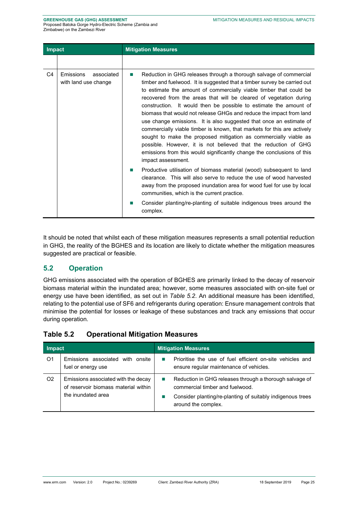| <b>Impact</b> |                                                 | <b>Mitigation Measures</b>                                                                                                                                                                                                                                                                                                                                                                                                                                                                                          |
|---------------|-------------------------------------------------|---------------------------------------------------------------------------------------------------------------------------------------------------------------------------------------------------------------------------------------------------------------------------------------------------------------------------------------------------------------------------------------------------------------------------------------------------------------------------------------------------------------------|
| C4            | Emissions<br>associated<br>with land use change | Reduction in GHG releases through a thorough salvage of commercial<br>m.<br>timber and fuelwood. It is suggested that a timber survey be carried out<br>to estimate the amount of commercially viable timber that could be<br>recovered from the areas that will be cleared of vegetation during<br>construction. It would then be possible to estimate the amount of<br>biomass that would not release GHGs and reduce the impact from land<br>use change emissions. It is also suggested that once an estimate of |
|               |                                                 | commercially viable timber is known, that markets for this are actively<br>sought to make the proposed mitigation as commercially viable as<br>possible. However, it is not believed that the reduction of GHG<br>emissions from this would significantly change the conclusions of this<br>impact assessment.                                                                                                                                                                                                      |
|               |                                                 | Productive utilisation of biomass material (wood) subsequent to land<br>ш<br>clearance. This will also serve to reduce the use of wood harvested<br>away from the proposed inundation area for wood fuel for use by local<br>communities, which is the current practice.                                                                                                                                                                                                                                            |
|               |                                                 | Consider planting/re-planting of suitable indigenous trees around the<br>ш<br>complex.                                                                                                                                                                                                                                                                                                                                                                                                                              |

It should be noted that whilst each of these mitigation measures represents a small potential reduction in GHG, the reality of the BGHES and its location are likely to dictate whether the mitigation measures suggested are practical or feasible.

### **5.2 Operation**

GHG emissions associated with the operation of BGHES are primarily linked to the decay of reservoir biomass material within the inundated area; however, some measures associated with on-site fuel or energy use have been identified, as set out in *Table 5.2*. An additional measure has been identified, relating to the potential use of SF6 and refrigerants during operation: Ensure management controls that minimise the potential for losses or leakage of these substances and track any emissions that occur during operation.

| Impact         |                                                                                                   |  | <b>Mitigation Measures</b>                                                                                                                                                      |  |  |  |  |
|----------------|---------------------------------------------------------------------------------------------------|--|---------------------------------------------------------------------------------------------------------------------------------------------------------------------------------|--|--|--|--|
| O1             | Emissions associated with onsite<br>fuel or energy use                                            |  | Prioritise the use of fuel efficient on-site vehicles and<br>ensure regular maintenance of vehicles.                                                                            |  |  |  |  |
| O <sub>2</sub> | Emissions associated with the decay<br>of reservoir biomass material within<br>the inundated area |  | Reduction in GHG releases through a thorough salvage of<br>commercial timber and fuelwood.<br>Consider planting/re-planting of suitably indigenous trees<br>around the complex. |  |  |  |  |

### **Table 5.2 Operational Mitigation Measures**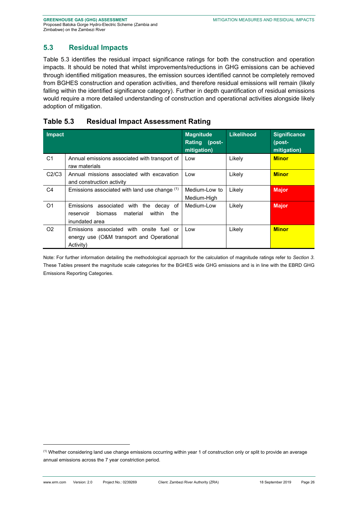# **5.3 Residual Impacts**

Table 5.3 identifies the residual impact significance ratings for both the construction and operation impacts. It should be noted that whilst improvements/reductions in GHG emissions can be achieved through identified mitigation measures, the emission sources identified cannot be completely removed from BGHES construction and operation activities, and therefore residual emissions will remain (likely falling within the identified significance category). Further in depth quantification of residual emissions would require a more detailed understanding of construction and operational activities alongside likely adoption of mitigation.

# **Table 5.3 Residual Impact Assessment Rating**

| <b>Impact</b>  |                                                                                                                         | <b>Magnitude</b><br>Rating (post-<br>mitigation) | Likelihood | <b>Significance</b><br>(post-<br>mitigation) |
|----------------|-------------------------------------------------------------------------------------------------------------------------|--------------------------------------------------|------------|----------------------------------------------|
| C1             | Annual emissions associated with transport of<br>raw materials                                                          | Low                                              | Likely     | <b>Minor</b>                                 |
| C2/C3          | Annual missions associated with excavation<br>and construction activity                                                 | Low                                              | Likely     | <b>Minor</b>                                 |
| C4             | Emissions associated with land use change $(1)$                                                                         | Medium-Low to<br>Medium-High                     | Likely     | <b>Major</b>                                 |
| O <sub>1</sub> | Emissions associated with the<br>decav of<br><b>biomass</b><br>the<br>material<br>within<br>reservoir<br>inundated area | Medium-Low                                       | Likely     | <b>Major</b>                                 |
| O <sub>2</sub> | Emissions associated with onsite fuel or<br>energy use (O&M transport and Operational<br>Activity)                      | Low                                              | Likely     | <b>Minor</b>                                 |

Note: For further information detailing the methodological approach for the calculation of magnitude ratings refer to *Section 3*. These Tables present the magnitude scale categories for the BGHES wide GHG emissions and is in line with the EBRD GHG Emissions Reporting Categories.

 $<sup>(1)</sup>$  Whether considering land use change emissions occurring within year 1 of construction only or split to provide an average</sup> annual emissions across the 7 year constriction period.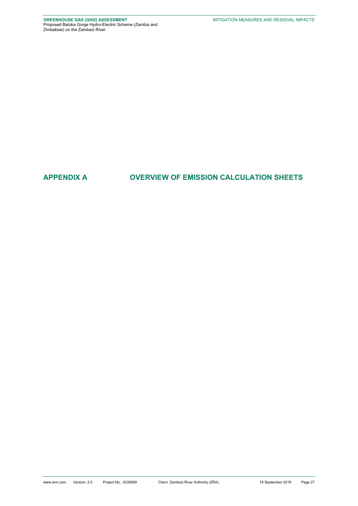# **APPENDIX A OVERVIEW OF EMISSION CALCULATION SHEETS**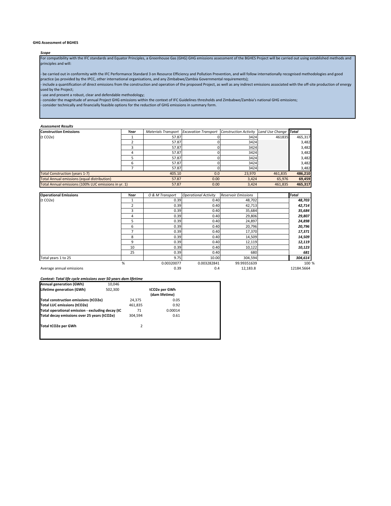#### **GHG Assessment of BGHES**

#### *Scope*

For compatibility with the IFC standards and Equator Principles, a Greenhouse Gas (GHG) GHG emissions assessment of the BGHES Project will be carried out using established methods and principles and will:

- be carried out in conformity with the IFC Performance Standard 3 on Resource Efficiency and Pollution Prevention, and will follow internationally recognised methodologies and good practice (as provided by the IPCC, other international organisations, and any Zimbabwe/Zambia Governmental requirements);

- include a quantification of direct emissions from the construction and operation of the proposed Project, as well as any indirect emissions associated with the off-site production of energy used by the Project;

- use and present a robust, clear and defendable methodology;

- consider the magnitude of annual Project GHG emissions within the context of IFC Guidelines thresholds and Zimbabwe/Zambia's national GHG emissions;

- consider technically and financially feasible options for the reduction of GHG emissions in summary form.

#### *Assessment Results*

| <b>Construction Emissions</b>                        | Year  | <b>Materials Transport</b> | <b>Excavation Transport</b> | <b>Construction Activity</b> | Land Use Change Total |         |
|------------------------------------------------------|-------|----------------------------|-----------------------------|------------------------------|-----------------------|---------|
| (t CO2e)                                             |       | 57.87                      |                             | 3424                         | 461835                | 465,317 |
|                                                      |       | 57.87                      |                             | 3424                         |                       | 3,482   |
|                                                      |       | 57.87                      |                             | 3424                         |                       | 3,482   |
|                                                      |       | 57.87                      |                             | 3424                         |                       | 3,482   |
|                                                      |       | 57.87                      |                             | 3424                         |                       | 3,482   |
|                                                      |       | 57.87                      |                             | 3424                         |                       | 3,482   |
|                                                      |       | 57.87                      |                             | 3424                         |                       | 3,482   |
| <b>Total Construction (years 1-7)</b>                |       | 405.10                     | 0.0                         | 23,970                       | 461.835               | 486,210 |
| <b>Total Annual emissions (equal distribution)</b>   | 57.87 | 0.00                       | 3,424                       | 65,976                       | 69,459                |         |
| Total Annual emissions (100% LUC emissions in yr. 1) |       | 57.87                      | 0.00                        | 3,424                        | 461.835               | 465,317 |

| <b>Operational Emissions</b> | Year | O & M Transport | <b>Operational Activity</b> | <b>Reservoir Emissions</b> | <b>Total</b> |
|------------------------------|------|-----------------|-----------------------------|----------------------------|--------------|
| (t CO2e)                     |      | 0.39            | 0.40                        | 48,702                     | 48,703       |
|                              |      | 0.39            | 0.40                        | 42,713                     | 42,714       |
|                              | 3    | 0.39            | 0.40                        | 35,684                     | 35,684       |
|                              | 4    | 0.39            | 0.40                        | 29,806                     | 29,807       |
|                              |      | 0.39            | 0.40                        | 24,897                     | 24,898       |
|                              | 6    | 0.39            | 0.40                        | 20,796                     | 20,796       |
|                              |      | 0.39            | 0.40                        | 17,370                     | 17,371       |
|                              | 8    | 0.39            | 0.40                        | 14,509                     | 14,509       |
|                              | q    | 0.39            | 0.40                        | 12,119                     | 12,119       |
|                              | 10   | 0.39            | 0.40                        | 10,122                     | 10,123       |
|                              | 25   | 0.39            | 0.40                        | 680                        | 681          |
| Total years 1 to 25          |      | 9.75            | 10.00                       | 304,594                    | 304,614      |
|                              | %    | 0.00320077      | 0.003282841                 | 99.99351639                | 100 %        |
| Average annual emissions     |      | 0.39            | 0.4                         | 12.183.8                   | 12184.5664   |

*Context: Total life cycle emissions over 50 years dam lifetime*

| 10.046              |                                                                                                                                         |                                 |  |  |
|---------------------|-----------------------------------------------------------------------------------------------------------------------------------------|---------------------------------|--|--|
| 502,300             |                                                                                                                                         | tCO2e per GWh<br>(dam lifetime) |  |  |
|                     | 24.375                                                                                                                                  | 0.05                            |  |  |
|                     | 461.835                                                                                                                                 | 0.92                            |  |  |
|                     | 71                                                                                                                                      | 0.00014                         |  |  |
|                     | 304.594                                                                                                                                 | 0.61                            |  |  |
| Total tCO2e per GWh |                                                                                                                                         |                                 |  |  |
|                     | Total construction emissions (tCO2e)<br>Total operational emission - excluding decay (tC<br>Total decay emissions over 25 years (tCO2e) | 2                               |  |  |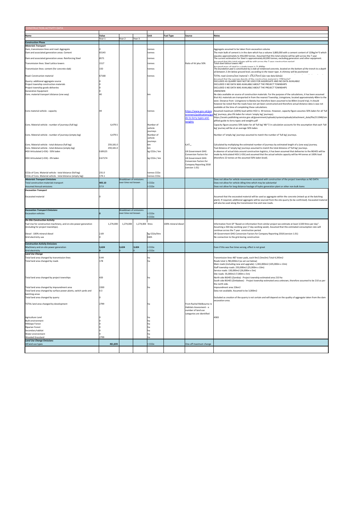| CONSTRUCTION ACTIVITY DATA                                                                          |                      |                        |                  |                                      |                     |                                                     |                                                                                                                                                                                                                            |
|-----------------------------------------------------------------------------------------------------|----------------------|------------------------|------------------|--------------------------------------|---------------------|-----------------------------------------------------|----------------------------------------------------------------------------------------------------------------------------------------------------------------------------------------------------------------------------|
| <b>Name</b>                                                                                         | Value                |                        |                  | Unit                                 | <b>Fuel Type</b>    | Source                                              | <b>Notes</b>                                                                                                                                                                                                               |
|                                                                                                     | Year 1               | Year <sub>2</sub>      | Year 3           |                                      |                     |                                                     |                                                                                                                                                                                                                            |
| <b>Construction Phase</b>                                                                           |                      |                        |                  |                                      |                     |                                                     |                                                                                                                                                                                                                            |
| <b>Materials Transport</b><br>Dam, transmission lines and road: Aggregate                           |                      |                        |                  | tonnes                               |                     |                                                     | Aggregate assumed to be taken from excavation volume                                                                                                                                                                       |
| Dam and associated generation areas: Cement                                                         | 65143                |                        |                  | tonnes                               |                     |                                                     | The main bulk of cement is in the dam which has a volume 3,800,000 with a cement content of 120kg/m^3 which                                                                                                                |
| Dam and associated generation areas: Reinforcing Steel                                              | 8571                 |                        |                  | tonnes                               |                     |                                                     | equates approximately to 456,000 tonnes. Assumed that this total volume will be split across the 7 year<br>The current estimation for Steel is approximately 60,000 tonnes, excluding generators and other equipment.      |
| Transmission lines: Steel Lattice towers                                                            | 1517                 |                        |                  | tonnes                               |                     | Ratio of kV plus 50%                                | .<br>Accumed that thic total volume will he colit acrocc the 7 vear conctruction neriod<br>Total steel lattice towers 487                                                                                                  |
| Transmission lines: cement (for concrete slab)                                                      | 150                  |                        |                  | tonnes                               |                     |                                                     | Accumed mace of steel in a single tower is 21 ROOkg<br>The foundation pad is constituted by a slab of reinforced concrete, located on the bottom of the trench to a depth                                                  |
|                                                                                                     |                      |                        |                  |                                      |                     |                                                     | of between 2-3m below ground level, according to the tower type. A chimney will be positioned                                                                                                                              |
| Road: Construction material                                                                         | 67168                |                        |                  | tonnes                               |                     |                                                     | TOTAL road construction material = 276,575m3 (see raw data below)                                                                                                                                                          |
| Quarry: additional aggregate source                                                                 |                      |                        |                  |                                      |                     |                                                     | Accumed that the average dencity of the conctruction material ic 1700 kg/m <sup>3</sup><br>EXCLUDED AS QUARRY MAY NOT BE USED FOR AGGREGATE AND NO DATA AVAILABLE                                                          |
| Project township construction materials                                                             |                      |                        |                  |                                      |                     |                                                     | EXCLUDED S NO DATA WAS AVAILABLE ABOUT THE PROJECT TOWNSHIPS                                                                                                                                                               |
| Project township goods deliveries<br><b>Generation Equipment</b>                                    |                      |                        |                  |                                      |                     |                                                     | EXCLUDED S NO DATA WAS AVAILABLE ABOUT THE PROJECT TOWNSHIPS<br><b>UNKNOWN</b>                                                                                                                                             |
| Cons. material transport distance (one way)                                                         | 40                   |                        |                  | km                                   |                     |                                                     | No data available on source of construction materials. For the purpose of the calculations, it has been assumed                                                                                                            |
|                                                                                                     |                      |                        |                  |                                      |                     |                                                     | that ALL materials are transported in from the nearest Township, Livingstone, located approximately 40km to the<br>west. Distance from Livingstone to Batoka has therefore been assumed to be 80km (round trip). It should |
|                                                                                                     |                      |                        |                  |                                      |                     |                                                     | however be noted that the roads have not yet been constructed and therefore actual distance data is was not                                                                                                                |
|                                                                                                     |                      |                        |                  |                                      |                     |                                                     | available at the time of completing these calculations.                                                                                                                                                                    |
| Cons material vehicle - capacity                                                                    | 44                   |                        |                  | tonnes                               |                     | https://www.gov.uk/gov<br>ernment/publications/gu   | Assumed maximum (100%) load within HGV is 44 tonnes. However, capacity figure assumes 50% laden for all 'full<br>leg' journeys, plus 0% laden for return 'empty leg' journeys).                                            |
|                                                                                                     |                      |                        |                  |                                      |                     | le-to-lorry-types-and-                              | https://assets.publishing.service.gov.uk/government/uploads/system/uploads/attachment_data/file/211948/sim                                                                                                                 |
|                                                                                                     |                      |                        |                  |                                      |                     | <u>veights</u>                                      | plified-guide-to-lorry-types-and-weights.pdf                                                                                                                                                                               |
| Cons. Material vehicle - number of journeys (full leg)                                              | 6,479.5              |                        |                  | Number of<br>vehicle                 |                     |                                                     | Capacity figure assumes 50% laden for all 'full leg' NB *2 in calculation accounts for the assumption that each 'full<br>leg' journey will be at an average 50% laden.                                                     |
|                                                                                                     |                      |                        |                  | journeys                             |                     |                                                     |                                                                                                                                                                                                                            |
| Cons. Material vehicle - number of journeys (empty leg)                                             | 6,479.5              |                        |                  | Number of<br>vehicle                 |                     |                                                     | Number of 'emply leg' journeys assumed to match the number of 'full leg' journeys.                                                                                                                                         |
|                                                                                                     |                      |                        |                  | journeys                             |                     |                                                     |                                                                                                                                                                                                                            |
| Cons. Material vehicle - total distance (full leg)                                                  | 259,181.0            |                        |                  | km                                   |                     | 6,47,                                               | Calculated by multiplying the estimated number of journeys by estimated length of a (one way) journey.                                                                                                                     |
| Cons. Material vehicle - total distance (empty leg)<br>HGV Articulated (>33t) - 50% laden           | 259,181.0<br>0.89125 |                        |                  | km<br>kg CO2e / km                   |                     | <b>UK Government GHG</b>                            | Toal distance of 'empty leg' journeys assumed to match the total distance of 'full leg' journeys.<br>In absence of actual data around construction logistics, it has been assumed that deliveries to the BGHES will be     |
|                                                                                                     |                      |                        |                  |                                      |                     | Conversion Factors for                              | made by Articulated HGV (>33t) and assumed that the actual vehicle capacity will be 44 tonnes at 100% load                                                                                                                 |
| HGV Articulated (>33t) - 0% laden                                                                   | 0.67174              |                        |                  | kg CO2e / km                         |                     | <b>UK Government GHG</b>                            | (therefore 22 tonnes at the assumed 50% laden level).                                                                                                                                                                      |
|                                                                                                     |                      |                        |                  |                                      |                     | Conversion Factors for<br>Company Reporting 2018    |                                                                                                                                                                                                                            |
|                                                                                                     |                      |                        |                  |                                      |                     | (version 1.01)                                      |                                                                                                                                                                                                                            |
| CO2e of Cons. Material vehicle - total distance (full leg)                                          | 231.0                |                        |                  | tonnes CO2e                          |                     |                                                     |                                                                                                                                                                                                                            |
| CO2e of Cons. Material vehicle - total distance (empty leg)<br><b>Materials Transport Emissions</b> | 174.1                | Breakdown of emissions |                  | tonnes CO2e                          |                     |                                                     |                                                                                                                                                                                                                            |
| Total construction materials transport                                                              | 405.10               | over time not known    |                  | CO <sub>2e</sub>                     |                     |                                                     | Does not allow for vehicle movements associated with construction of the project townships as NO DATA<br>Does not allow for vehicle idling time which may be substantial                                                   |
| <b>Assumed Annual emissions</b>                                                                     | 57.9                 |                        |                  | CO <sub>2</sub> e                    |                     |                                                     | Does not allow for long distance haulage of hydro generation plant or other non-bulk items                                                                                                                                 |
| <b>Excavation Transport</b>                                                                         |                      |                        |                  |                                      |                     |                                                     |                                                                                                                                                                                                                            |
| <b>Excavated material</b>                                                                           |                      |                        |                  |                                      |                     |                                                     | Assumed that the excavated material will be used as aggregate within the concrete (mixed up at the batching                                                                                                                |
|                                                                                                     |                      |                        |                  |                                      |                     |                                                     | plant). If required, additional aggregate will be sourced from the site quarry (to be confirmed). Excavated material                                                                                                       |
|                                                                                                     |                      |                        |                  |                                      |                     |                                                     | will also be used along the transmission line and new roads.                                                                                                                                                               |
| <b>Excavation Transport Emissions</b>                                                               |                      | Breakdown of emissions |                  |                                      |                     |                                                     |                                                                                                                                                                                                                            |
| <b>Excavation vehicles</b>                                                                          |                      | over time not known    |                  | CO <sub>2e</sub><br>CO <sub>2e</sub> |                     |                                                     |                                                                                                                                                                                                                            |
| <b>On-Site Construction Activity</b>                                                                |                      |                        |                  |                                      |                     |                                                     |                                                                                                                                                                                                                            |
| Fuel Use for construction machinery, and on-site power generation                                   | 1,274,000            | 1,274,000              | 1,274,000 litres |                                      | 100% mineral diesel |                                                     | Information from SP "Based on information from similar project we estimate at least 3,500 litres per day".                                                                                                                 |
| (including for project townships).                                                                  |                      |                        |                  |                                      |                     |                                                     | Assuming a 364 day working year (7 day working week). Assumed that this estimated consumption rate will<br>continue across the 7 year construction period.                                                                 |
| Diesel - 100% mineral diesel                                                                        | 2.69                 |                        |                  | kg CO2e/litre                        |                     |                                                     | UK Government GHG Conversion Factors for Company Reporting 2018 (version 1.01)                                                                                                                                             |
| Grid electricity use                                                                                |                      |                        |                  | kWh                                  |                     |                                                     | No connection to the grid during construction                                                                                                                                                                              |
| <b>Construction Activity Emissions</b>                                                              |                      |                        |                  |                                      |                     |                                                     |                                                                                                                                                                                                                            |
| Machinery and on-site power generation                                                              | 3,424                | 3,424                  | 3,424            | CO <sub>2</sub> e                    |                     |                                                     | Even if this was five times wrong, effect is not great                                                                                                                                                                     |
| <b>Grid electricity</b>                                                                             |                      |                        |                  | CO <sub>2</sub> e                    |                     |                                                     |                                                                                                                                                                                                                            |
| <b>Land Use Change</b><br>Total land area changed by transmission lines                             | 0.44                 |                        |                  | ha                                   |                     |                                                     | Transmission lines 487 tower pads, each 9m2 (3mx3m) Total 4,393m2                                                                                                                                                          |
| Total land area changed by roads                                                                    | 178                  |                        |                  | ha                                   |                     |                                                     | Roads total 1,780,000m2 (as set out below)                                                                                                                                                                                 |
|                                                                                                     |                      |                        |                  |                                      |                     |                                                     | Main roads (including new and upgrade): 1,365,000m2 (105,000m x 13m)<br>Staff township roads: 250,000m2 (25,000m x 10m)                                                                                                    |
|                                                                                                     |                      |                        |                  |                                      |                     |                                                     | Service roads: 130,000m2 (26,000m x 5m)                                                                                                                                                                                    |
|                                                                                                     |                      |                        |                  |                                      |                     |                                                     | Site roads: 35,000m2 (7,000m x 5m)                                                                                                                                                                                         |
| Total land area changed by project townships                                                        | 420                  |                        |                  | ha                                   |                     |                                                     | North side BGHES (Zambia) - Project township estimated area 210 ha<br>South side BGHES (Zimbabwe) - Project township estimated area unknown, therefore assumed to be 210 as per                                            |
|                                                                                                     |                      |                        |                  |                                      |                     |                                                     | the north side.                                                                                                                                                                                                            |
| Total land area changed by impoundment area                                                         | 2200                 |                        |                  | ha                                   |                     |                                                     | Impoundment area 22km2                                                                                                                                                                                                     |
| Total land area changed by surface power plants, switch yards and<br>batching areas                 | 0.3                  |                        |                  |                                      |                     |                                                     | Data not available. Assumed to be 3,000m2                                                                                                                                                                                  |
| Total land area changed by quarry                                                                   |                      |                        |                  |                                      |                     |                                                     | Excluded as creation of the quarry is not certain and will depend on the quality of aggregate taken from the dam                                                                                                           |
|                                                                                                     |                      |                        |                  |                                      |                     |                                                     | excavation area.                                                                                                                                                                                                           |
| TOTAL land area changed by development                                                              | 2799                 |                        |                  | ha                                   |                     | From Rachel Melbourne re<br>Habitats Assessment - a |                                                                                                                                                                                                                            |
|                                                                                                     |                      |                        |                  |                                      |                     | number of land use                                  |                                                                                                                                                                                                                            |
| Agriculture Land                                                                                    |                      |                        |                  | ha                                   |                     | categories are identified                           | 4383                                                                                                                                                                                                                       |
| <b>Built environment</b>                                                                            |                      |                        |                  | ha                                   |                     |                                                     |                                                                                                                                                                                                                            |
| <b>Hillslope Forest</b>                                                                             |                      |                        |                  | ha                                   |                     |                                                     |                                                                                                                                                                                                                            |
| <b>Riparian Forest</b><br>Secondary habitat                                                         |                      |                        |                  | ha<br>ha                             |                     |                                                     |                                                                                                                                                                                                                            |
| Water environment                                                                                   |                      |                        |                  | ha                                   |                     |                                                     |                                                                                                                                                                                                                            |
| <b>Wooded Grassland</b><br><b>Land Use Change Emissions</b>                                         | 2799                 |                        |                  | ha                                   |                     |                                                     |                                                                                                                                                                                                                            |
| All land use types                                                                                  | 461,835              |                        |                  | CO <sub>2</sub> e                    |                     | One-off maximum change                              |                                                                                                                                                                                                                            |
|                                                                                                     |                      |                        |                  |                                      |                     |                                                     |                                                                                                                                                                                                                            |
|                                                                                                     |                      |                        |                  |                                      |                     |                                                     |                                                                                                                                                                                                                            |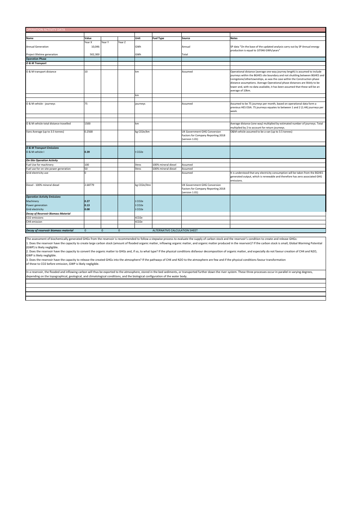| <b>OPERATION ACTIVITY DATA</b>             |              |              |              |                  |                               |                                                                                      |                                                                                                                                                                                                                                                                                                                                                                                                                            |  |  |
|--------------------------------------------|--------------|--------------|--------------|------------------|-------------------------------|--------------------------------------------------------------------------------------|----------------------------------------------------------------------------------------------------------------------------------------------------------------------------------------------------------------------------------------------------------------------------------------------------------------------------------------------------------------------------------------------------------------------------|--|--|
|                                            |              |              |              |                  |                               |                                                                                      |                                                                                                                                                                                                                                                                                                                                                                                                                            |  |  |
| Name                                       | Value        |              |              | Unit             | <b>Fuel Type</b>              | Source                                                                               | <b>Notes</b>                                                                                                                                                                                                                                                                                                                                                                                                               |  |  |
|                                            | Year X       | Year Y       | Year Z       |                  |                               |                                                                                      |                                                                                                                                                                                                                                                                                                                                                                                                                            |  |  |
| <b>Annual Generation</b>                   | 10,046       |              |              | GWh              |                               | Annual                                                                               | SP data "On the base of the updated analysis carry out by SP Annual energy                                                                                                                                                                                                                                                                                                                                                 |  |  |
|                                            |              |              |              |                  |                               |                                                                                      | production is equal to 10'046 GWh/years"                                                                                                                                                                                                                                                                                                                                                                                   |  |  |
| Project lifetime generation                | 502,300      |              |              | GWh              |                               | Total                                                                                |                                                                                                                                                                                                                                                                                                                                                                                                                            |  |  |
| <b>Operation Phase</b>                     |              |              |              |                  |                               |                                                                                      |                                                                                                                                                                                                                                                                                                                                                                                                                            |  |  |
| O & M Transport                            |              |              |              |                  |                               |                                                                                      |                                                                                                                                                                                                                                                                                                                                                                                                                            |  |  |
|                                            |              |              |              |                  |                               |                                                                                      |                                                                                                                                                                                                                                                                                                                                                                                                                            |  |  |
| O & M transport distance                   | 10           |              |              | km               |                               | Assumed                                                                              | Operational distance (average one-way journey length) is assumed to include<br>journeys within the BGHES site boundary and not shuttling between BGHES and<br>Livingstone/othertownships, as was the case within the Construction phase<br>distance assumptions. Average Operational phase distances are liklely to be<br>lower and, with no data available, it has been assumed that these will be an<br>average of 10km. |  |  |
|                                            |              |              |              | km               |                               |                                                                                      |                                                                                                                                                                                                                                                                                                                                                                                                                            |  |  |
|                                            |              |              |              |                  |                               |                                                                                      |                                                                                                                                                                                                                                                                                                                                                                                                                            |  |  |
| O & M vehicle - journeys                   | 75           |              |              | journeys         |                               | Assumed                                                                              | Assumed to be 75 journeys per month, based on operational data form a<br>previous HES ESIA. 75 journeys equates to between 1 and 2 (1.44) journeys per<br>week.                                                                                                                                                                                                                                                            |  |  |
|                                            |              |              |              |                  |                               |                                                                                      |                                                                                                                                                                                                                                                                                                                                                                                                                            |  |  |
|                                            |              |              |              |                  |                               |                                                                                      |                                                                                                                                                                                                                                                                                                                                                                                                                            |  |  |
| O & M vehicle total distance travelled     | 1500         |              |              | km               |                               |                                                                                      | Average distance (one way) multiplied by estimated number of journeys. Total<br>multiplied by 2 to account for return journeys.                                                                                                                                                                                                                                                                                            |  |  |
| Vans Average (up to 3.5 tonnes)            | 0.2568       |              |              | kg CO2e/km       |                               | UK Government GHG Conversion<br>Factors for Company Reporting 2018<br>(version 1.01) | O&M vehicle assumed to be a van (up to 3.5 tonnes)                                                                                                                                                                                                                                                                                                                                                                         |  |  |
|                                            |              |              |              |                  |                               |                                                                                      |                                                                                                                                                                                                                                                                                                                                                                                                                            |  |  |
| <b>O &amp; M Transport Emissions</b>       |              |              |              |                  |                               |                                                                                      |                                                                                                                                                                                                                                                                                                                                                                                                                            |  |  |
| O & M vehicle I                            | 0.39         |              |              | CO <sub>2e</sub> |                               |                                                                                      |                                                                                                                                                                                                                                                                                                                                                                                                                            |  |  |
| <b>On-Site Operation Activity</b>          |              |              |              |                  |                               |                                                                                      |                                                                                                                                                                                                                                                                                                                                                                                                                            |  |  |
| Fuel Use for machinery                     | 100          |              |              | litres           | 100% mineral diesel           | Assumed                                                                              |                                                                                                                                                                                                                                                                                                                                                                                                                            |  |  |
| Fuel use for on-site power generation      | 50           |              |              | litres           | 100% mineral diesel           | Assumed                                                                              |                                                                                                                                                                                                                                                                                                                                                                                                                            |  |  |
| Grid electricity use                       | $\Omega$     |              |              |                  |                               | Assumed                                                                              | It is understood that any electricity consumption will be taken from the BGHES<br>generated output, which is renewable and therefore has zero associated GHG<br>emissions.                                                                                                                                                                                                                                                 |  |  |
| Diesel - 100% mineral diesel               | 2.68779      |              |              | kg CO2e/litre    |                               | UK Government GHG Conversion<br>Factors for Company Reporting 2018<br>(version 1.01) |                                                                                                                                                                                                                                                                                                                                                                                                                            |  |  |
| <b>Operation Activity Emissions</b>        |              |              |              |                  |                               |                                                                                      |                                                                                                                                                                                                                                                                                                                                                                                                                            |  |  |
| Machinery                                  | 0.27         |              |              | CO <sub>2e</sub> |                               |                                                                                      |                                                                                                                                                                                                                                                                                                                                                                                                                            |  |  |
| Power generation                           | 0.13         |              |              | CO <sub>2e</sub> |                               |                                                                                      |                                                                                                                                                                                                                                                                                                                                                                                                                            |  |  |
| <b>Grid electricity</b>                    | 0.00         |              |              | CO <sub>2e</sub> |                               |                                                                                      |                                                                                                                                                                                                                                                                                                                                                                                                                            |  |  |
| <b>Decay of Reservoir Biomass Material</b> |              |              |              |                  |                               |                                                                                      |                                                                                                                                                                                                                                                                                                                                                                                                                            |  |  |
| CO2 emissions                              |              |              |              | tCO2e            |                               |                                                                                      |                                                                                                                                                                                                                                                                                                                                                                                                                            |  |  |
| CH4 emission                               |              |              |              | tCO2e            |                               |                                                                                      |                                                                                                                                                                                                                                                                                                                                                                                                                            |  |  |
|                                            |              |              |              |                  |                               |                                                                                      |                                                                                                                                                                                                                                                                                                                                                                                                                            |  |  |
| Decay of reservoir biomass material        | $\mathbf{0}$ | $\mathbf{0}$ | $\mathbf{0}$ |                  | ALTERNATIVE CALCULATION SHEET |                                                                                      |                                                                                                                                                                                                                                                                                                                                                                                                                            |  |  |

The assessment of biochemically generated GHGs from the reservoir is recommended to follow a stepwise process to evaluate the supply of carbon stock and the reservoir's condition to create and release GHGs: 1. Does the reservoir have the capacity to create large carbon stock (amount of flooded organic matter, inflowing organic matter, and organic matter produced in the reservoir)? If the carbon stock is small, Global Warming (GWP) is likely negligible.

2. Does the reservoir have the capacity to convert the organic matter to GHGs and, if so, to what type? If the physical conditions disfavour decomposition of organic matter, and especially do not favour creation of CH4 and GWP is likely negligible.

3. Does the reservoir have the capacity to release the created GHGs into the atmosphere? If the pathways of CH4 and N2O to the atmosphere are few and if the physical conditions favour transformation of these to CO2 before emission, GWP is likely negligible.

In a reservoir, the flooded and inflowing carbon will thus be exported to the atmosphere, stored in the bed sediments, or transported further down the river system. These three processes occur in parallel in varying degree depending on the topographical, geological, and climatological conditions, and the biological configuration of the water body.